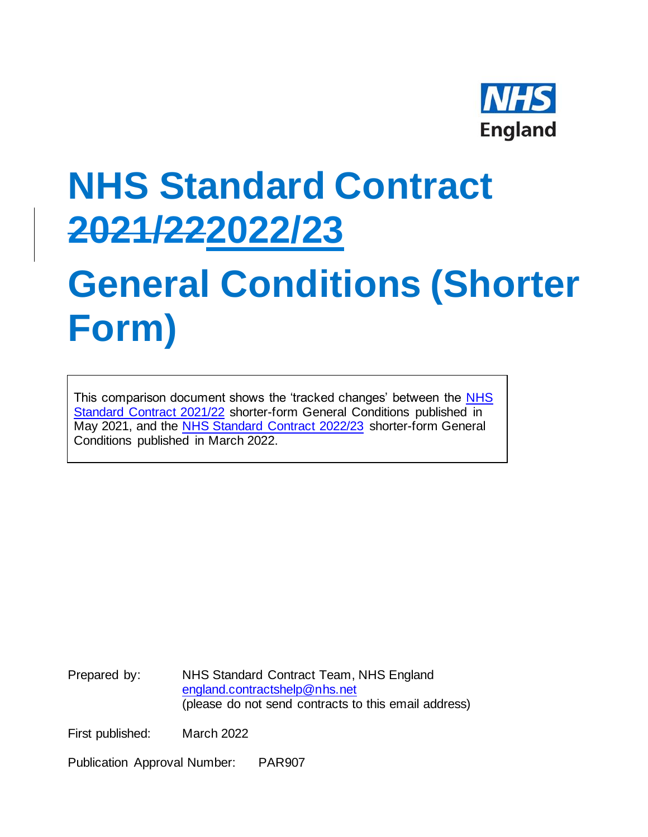

# **NHS Standard Contract 2021/222022/23**

# **General Conditions (Shorter Form)**

This comparison document shows the 'tracked changes' between the NHS [Standard Contract 2021/22](https://www.england.nhs.uk/nhs-standard-contract/21-22/shorter-form-nhs-standard-contract-2021-22-particulars-service-conditions-general-conditions/) shorter-form General Conditions published in May 2021, and the [NHS Standard Contract 2022/23](https://www.england.nhs.uk/nhs-standard-contract/) shorter-form General Conditions published in March 2022.

Prepared by: NHS Standard Contract Team, NHS England [england.contractshelp@nhs.net](mailto:england.contractshelp@nhs.net) (please do not send contracts to this email address)

First published: March 2022

Publication Approval Number: PAR907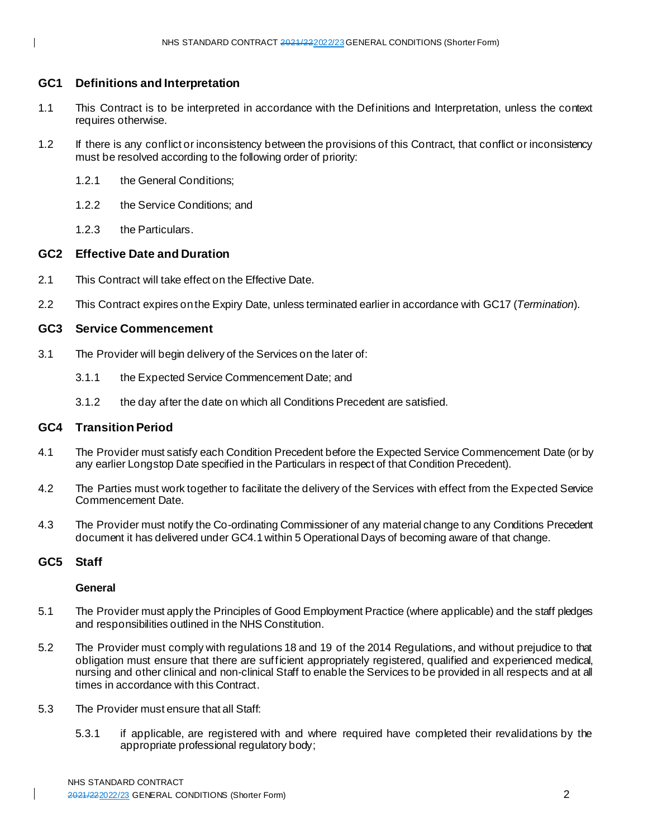# **GC1 Definitions and Interpretation**

- 1.1 This Contract is to be interpreted in accordance with the Definitions and Interpretation, unless the context requires otherwise.
- 1.2 If there is any conflict or inconsistency between the provisions of this Contract, that conflict or inconsistency must be resolved according to the following order of priority:
	- 1.2.1 the General Conditions;
	- 1.2.2 the Service Conditions; and
	- 1.2.3 the Particulars.

# **GC2 Effective Date and Duration**

- 2.1 This Contract will take effect on the Effective Date.
- 2.2 This Contract expires on the Expiry Date, unless terminated earlier in accordance with GC17 (*Termination*).

# **GC3 Service Commencement**

- 3.1 The Provider will begin delivery of the Services on the later of:
	- 3.1.1 the Expected Service Commencement Date; and
	- 3.1.2 the day after the date on which all Conditions Precedent are satisfied.

# **GC4 Transition Period**

- 4.1 The Provider must satisfy each Condition Precedent before the Expected Service Commencement Date (or by any earlier Longstop Date specified in the Particulars in respect of that Condition Precedent).
- 4.2 The Parties must work together to facilitate the delivery of the Services with effect from the Expected Service Commencement Date.
- 4.3 The Provider must notify the Co-ordinating Commissioner of any material change to any Conditions Precedent document it has delivered under GC4.1 within 5 Operational Days of becoming aware of that change.

# **GC5 Staff**

# **General**

- 5.1 The Provider must apply the Principles of Good Employment Practice (where applicable) and the staff pledges and responsibilities outlined in the NHS Constitution.
- 5.2 The Provider must comply with regulations 18 and 19 of the 2014 Regulations, and without prejudice to that obligation must ensure that there are sufficient appropriately registered, qualified and experienced medical, nursing and other clinical and non-clinical Staff to enable the Services to be provided in all respects and at all times in accordance with this Contract.
- 5.3 The Provider must ensure that all Staff:
	- 5.3.1 if applicable, are registered with and where required have completed their revalidations by the appropriate professional regulatory body;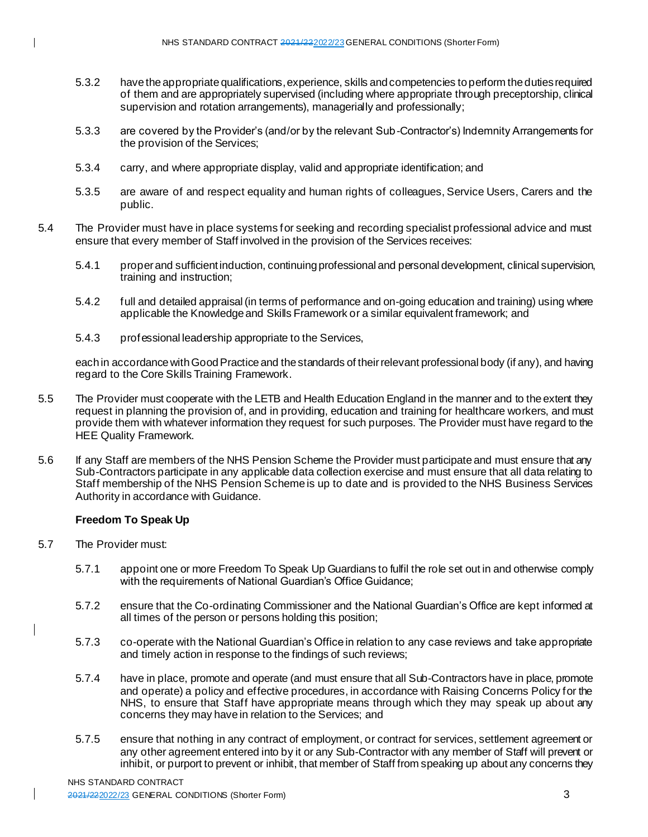- 5.3.2 have the appropriate qualifications, experience, skills and competencies to perform the duties required of them and are appropriately supervised (including where appropriate through preceptorship, clinical supervision and rotation arrangements), managerially and professionally;
- 5.3.3 are covered by the Provider's (and/or by the relevant Sub-Contractor's) Indemnity Arrangements for the provision of the Services;
- 5.3.4 carry, and where appropriate display, valid and appropriate identification; and
- 5.3.5 are aware of and respect equality and human rights of colleagues, Service Users, Carers and the public.
- 5.4 The Provider must have in place systems for seeking and recording specialist professional advice and must ensure that every member of Staff involved in the provision of the Services receives:
	- 5.4.1 proper and sufficient induction, continuing professional and personal development, clinical supervision, training and instruction;
	- 5.4.2 full and detailed appraisal (in terms of performance and on-going education and training) using where applicable the Knowledge and Skills Framework or a similar equivalent framework; and
	- 5.4.3 professional leadership appropriate to the Services,

each in accordance with Good Practice and the standards of their relevant professional body (if any), and having regard to the Core Skills Training Framework.

- 5.5 The Provider must cooperate with the LETB and Health Education England in the manner and to the extent they request in planning the provision of, and in providing, education and training for healthcare workers, and must provide them with whatever information they request for such purposes. The Provider must have regard to the HEE Quality Framework.
- 5.6 If any Staff are members of the NHS Pension Scheme the Provider must participate and must ensure that any Sub-Contractors participate in any applicable data collection exercise and must ensure that all data relating to Staff membership of the NHS Pension Scheme is up to date and is provided to the NHS Business Services Authority in accordance with Guidance.

# **Freedom To Speak Up**

- 5.7 The Provider must:
	- 5.7.1 appoint one or more Freedom To Speak Up Guardians to fulfil the role set out in and otherwise comply with the requirements of National Guardian's Office Guidance;
	- 5.7.2 ensure that the Co-ordinating Commissioner and the National Guardian's Office are kept informed at all times of the person or persons holding this position;
	- 5.7.3 co-operate with the National Guardian's Office in relation to any case reviews and take appropriate and timely action in response to the findings of such reviews;
	- 5.7.4 have in place, promote and operate (and must ensure that all Sub-Contractors have in place, promote and operate) a policy and effective procedures, in accordance with Raising Concerns Policy for the NHS, to ensure that Staff have appropriate means through which they may speak up about any concerns they may have in relation to the Services; and
	- 5.7.5 ensure that nothing in any contract of employment, or contract for services, settlement agreement or any other agreement entered into by it or any Sub-Contractor with any member of Staff will prevent or inhibit, or purport to prevent or inhibit, that member of Staff from speaking up about any concerns they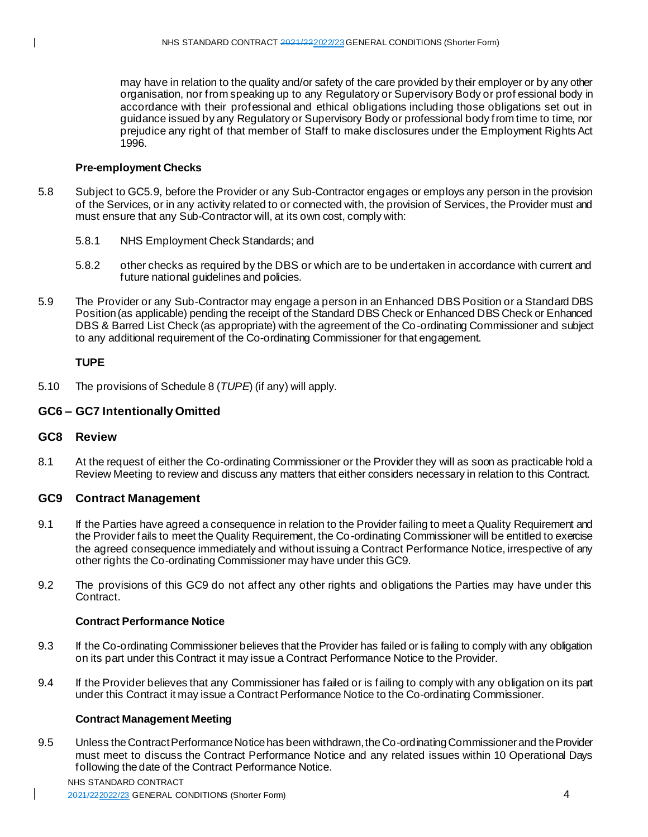may have in relation to the quality and/or safety of the care provided by their employer or by any other organisation, nor from speaking up to any Regulatory or Supervisory Body or prof essional body in accordance with their professional and ethical obligations including those obligations set out in guidance issued by any Regulatory or Supervisory Body or professional body from time to time, nor prejudice any right of that member of Staff to make disclosures under the Employment Rights Act 1996.

# **Pre-employment Checks**

- 5.8 Subject to GC5.9, before the Provider or any Sub-Contractor engages or employs any person in the provision of the Services, or in any activity related to or connected with, the provision of Services, the Provider must and must ensure that any Sub-Contractor will, at its own cost, comply with:
	- 5.8.1 NHS Employment Check Standards; and
	- 5.8.2 other checks as required by the DBS or which are to be undertaken in accordance with current and future national guidelines and policies.
- 5.9 The Provider or any Sub-Contractor may engage a person in an Enhanced DBS Position or a Standard DBS Position (as applicable) pending the receipt of the Standard DBS Check or Enhanced DBS Check or Enhanced DBS & Barred List Check (as appropriate) with the agreement of the Co-ordinating Commissioner and subject to any additional requirement of the Co-ordinating Commissioner for that engagement.

# **TUPE**

5.10 The provisions of Schedule 8 (*TUPE*) (if any) will apply.

# **GC6 – GC7 Intentionally Omitted**

#### **GC8 Review**

8.1 At the request of either the Co-ordinating Commissioner or the Provider they will as soon as practicable hold a Review Meeting to review and discuss any matters that either considers necessary in relation to this Contract.

#### **GC9 Contract Management**

- 9.1 If the Parties have agreed a consequence in relation to the Provider failing to meet a Quality Requirement and the Provider fails to meet the Quality Requirement, the Co-ordinating Commissioner will be entitled to exercise the agreed consequence immediately and without issuing a Contract Performance Notice, irrespective of any other rights the Co-ordinating Commissioner may have under this GC9.
- 9.2 The provisions of this GC9 do not affect any other rights and obligations the Parties may have under this Contract.

# **Contract Performance Notice**

- 9.3 If the Co-ordinating Commissioner believes that the Provider has failed or is failing to comply with any obligation on its part under this Contract it may issue a Contract Performance Notice to the Provider.
- 9.4 If the Provider believes that any Commissioner has failed or is failing to comply with any obligation on its part under this Contract it may issue a Contract Performance Notice to the Co-ordinating Commissioner.

#### **Contract Management Meeting**

9.5 Unless the Contract Performance Notice has been withdrawn, the Co-ordinating Commissioner and the Provider must meet to discuss the Contract Performance Notice and any related issues within 10 Operational Days following the date of the Contract Performance Notice.

#### NHS STANDARD CONTRACT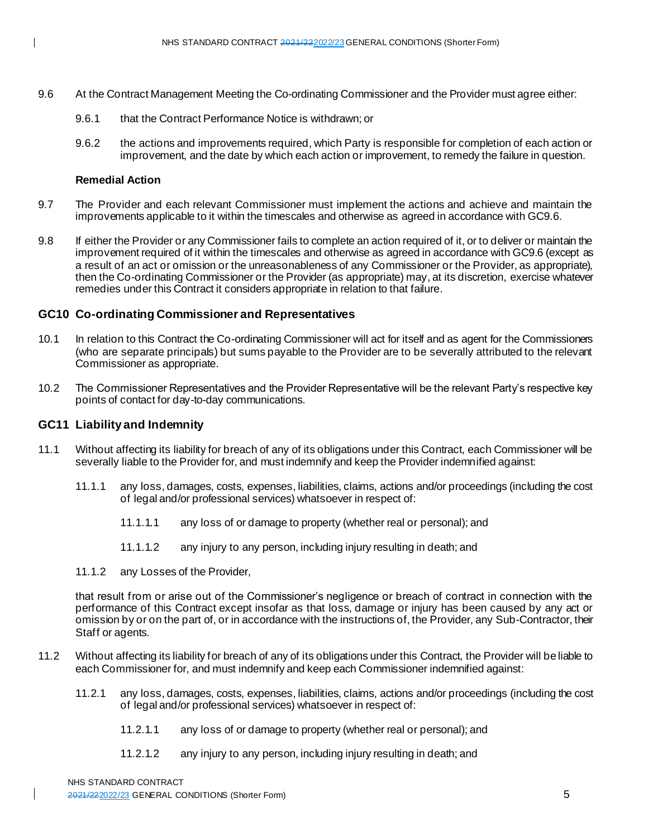- 9.6 At the Contract Management Meeting the Co-ordinating Commissioner and the Provider must agree either:
	- 9.6.1 that the Contract Performance Notice is withdrawn; or
	- 9.6.2 the actions and improvements required, which Party is responsible for completion of each action or improvement, and the date by which each action or improvement, to remedy the failure in question.

#### **Remedial Action**

- 9.7 The Provider and each relevant Commissioner must implement the actions and achieve and maintain the improvements applicable to it within the timescales and otherwise as agreed in accordance with GC9.6.
- 9.8 If either the Provider or any Commissioner fails to complete an action required of it, or to deliver or maintain the improvement required of it within the timescales and otherwise as agreed in accordance with GC9.6 (except as a result of an act or omission or the unreasonableness of any Commissioner or the Provider, as appropriate), then the Co-ordinating Commissioner or the Provider (as appropriate) may, at its discretion, exercise whatever remedies under this Contract it considers appropriate in relation to that failure.

# **GC10 Co-ordinating Commissioner and Representatives**

- 10.1 In relation to this Contract the Co-ordinating Commissioner will act for itself and as agent for the Commissioners (who are separate principals) but sums payable to the Provider are to be severally attributed to the relevant Commissioner as appropriate.
- 10.2 The Commissioner Representatives and the Provider Representative will be the relevant Party's respective key points of contact for day-to-day communications.

#### **GC11 Liability and Indemnity**

- 11.1 Without affecting its liability for breach of any of its obligations under this Contract, each Commissioner will be severally liable to the Provider for, and must indemnify and keep the Provider indemnified against:
	- 11.1.1 any loss, damages, costs, expenses, liabilities, claims, actions and/or proceedings (including the cost of legal and/or professional services) whatsoever in respect of:
		- 11.1.1.1 any loss of or damage to property (whether real or personal); and
		- 11.1.1.2 any injury to any person, including injury resulting in death; and
	- 11.1.2 any Losses of the Provider,

that result from or arise out of the Commissioner's negligence or breach of contract in connection with the performance of this Contract except insofar as that loss, damage or injury has been caused by any act or omission by or on the part of, or in accordance with the instructions of, the Provider, any Sub-Contractor, their Staff or agents.

- 11.2 Without affecting its liability for breach of any of its obligations under this Contract, the Provider will be liable to each Commissioner for, and must indemnify and keep each Commissioner indemnified against:
	- 11.2.1 any loss, damages, costs, expenses, liabilities, claims, actions and/or proceedings (including the cost of legal and/or professional services) whatsoever in respect of:
		- 11.2.1.1 any loss of or damage to property (whether real or personal); and
		- 11.2.1.2 any injury to any person, including injury resulting in death; and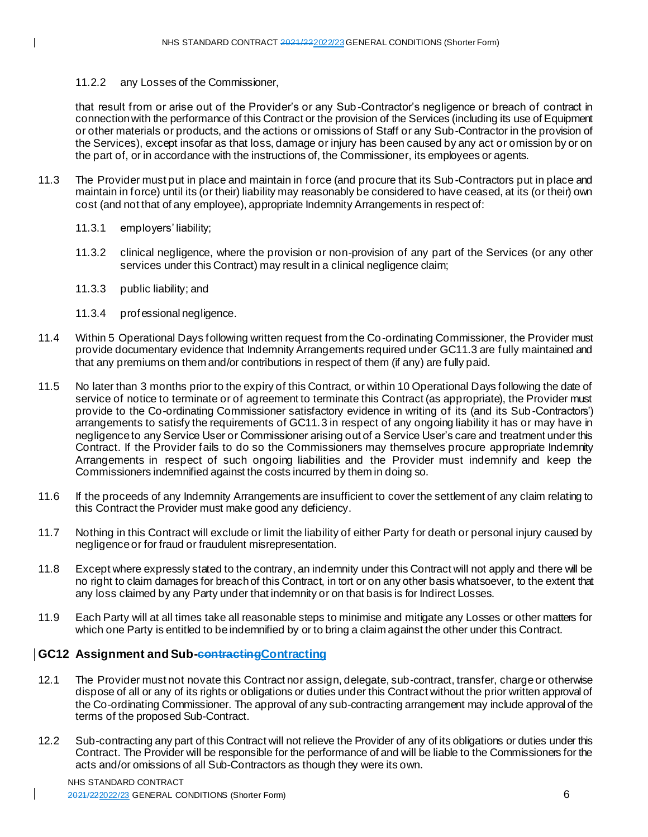# 11.2.2 any Losses of the Commissioner,

that result from or arise out of the Provider's or any Sub-Contractor's negligence or breach of contract in connection with the performance of this Contract or the provision of the Services (including its use of Equipment or other materials or products, and the actions or omissions of Staff or any Sub-Contractor in the provision of the Services), except insofar as that loss, damage or injury has been caused by any act or omission by or on the part of, or in accordance with the instructions of, the Commissioner, its employees or agents.

- 11.3 The Provider must put in place and maintain in force (and procure that its Sub -Contractors put in place and maintain in force) until its (or their) liability may reasonably be considered to have ceased, at its (or their) own cost (and not that of any employee), appropriate Indemnity Arrangements in respect of:
	- 11.3.1 employers' liability;
	- 11.3.2 clinical negligence, where the provision or non-provision of any part of the Services (or any other services under this Contract) may result in a clinical negligence claim;
	- 11.3.3 public liability; and
	- 11.3.4 professional negligence.
- 11.4 Within 5 Operational Days following written request from the Co-ordinating Commissioner, the Provider must provide documentary evidence that Indemnity Arrangements required under GC11.3 are fully maintained and that any premiums on them and/or contributions in respect of them (if any) are fully paid.
- 11.5 No later than 3 months prior to the expiry of this Contract, or within 10 Operational Days following the date of service of notice to terminate or of agreement to terminate this Contract (as appropriate), the Provider must provide to the Co-ordinating Commissioner satisfactory evidence in writing of its (and its Sub -Contractors') arrangements to satisfy the requirements of GC11.3 in respect of any ongoing liability it has or may have in negligence to any Service User or Commissioner arising out of a Service User's care and treatment under this Contract. If the Provider fails to do so the Commissioners may themselves procure appropriate Indemnity Arrangements in respect of such ongoing liabilities and the Provider must indemnify and keep the Commissioners indemnified against the costs incurred by them in doing so.
- 11.6 If the proceeds of any Indemnity Arrangements are insufficient to cover the settlement of any claim relating to this Contract the Provider must make good any deficiency.
- 11.7 Nothing in this Contract will exclude or limit the liability of either Party for death or personal injury caused by negligence or for fraud or fraudulent misrepresentation.
- 11.8 Except where expressly stated to the contrary, an indemnity under this Contract will not apply and there will be no right to claim damages for breach of this Contract, in tort or on any other basis whatsoever, to the extent that any loss claimed by any Party under that indemnity or on that basis is for Indirect Losses.
- 11.9 Each Party will at all times take all reasonable steps to minimise and mitigate any Losses or other matters for which one Party is entitled to be indemnified by or to bring a claim against the other under this Contract.

# **GC12** Assignment and Sub-contracting Contracting

- 12.1 The Provider must not novate this Contract nor assign, delegate, sub-contract, transfer, charge or otherwise dispose of all or any of its rights or obligations or duties under this Contract without the prior written approval of the Co-ordinating Commissioner. The approval of any sub-contracting arrangement may include approval of the terms of the proposed Sub-Contract.
- 12.2 Sub-contracting any part of this Contract will not relieve the Provider of any of its obligations or duties under this Contract. The Provider will be responsible for the performance of and will be liable to the Commissioners for the acts and/or omissions of all Sub-Contractors as though they were its own.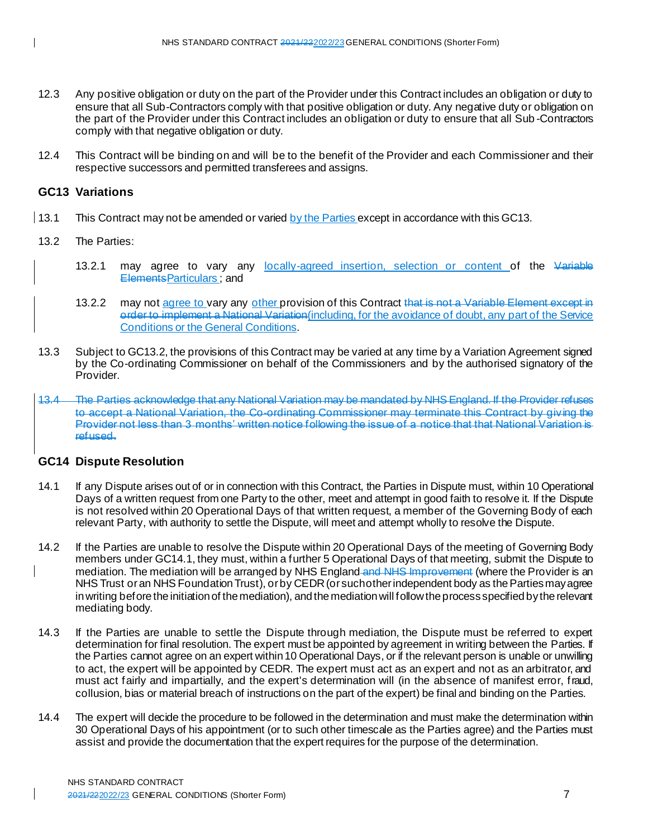- 12.3 Any positive obligation or duty on the part of the Provider under this Contract includes an obligation or duty to ensure that all Sub-Contractors comply with that positive obligation or duty. Any negative duty or obligation on the part of the Provider under this Contract includes an obligation or duty to ensure that all Sub -Contractors comply with that negative obligation or duty.
- 12.4 This Contract will be binding on and will be to the benefit of the Provider and each Commissioner and their respective successors and permitted transferees and assigns.

# **GC13 Variations**

- 13.1 This Contract may not be amended or varied by the Parties except in accordance with this GC13.
- 13.2 The Parties:
	- 13.2.1 may agree to vary any locally-agreed insertion, selection or content of the Variable ElementsParticulars ; and
	- 13.2.2 may not agree to vary any other provision of this Contract that is not a Variable Element except in order to implement a National Variation(including, for the avoidance of doubt, any part of the Service Conditions or the General Conditions.
- 13.3 Subject to GC13.2, the provisions of this Contract may be varied at any time by a Variation Agreement signed by the Co-ordinating Commissioner on behalf of the Commissioners and by the authorised signatory of the **Provider**
- 13.4 The Parties acknowledge that any National Variation may be mandated by NHS England. If the Provider refuses to accept a National Variation, the Co-ordinating Commissioner may terminate this Contract by giving the Provider not less than 3 months' written notice following the issue of a notice that that National Variation is refused.

# **GC14 Dispute Resolution**

- 14.1 If any Dispute arises out of or in connection with this Contract, the Parties in Dispute must, within 10 Operational Days of a written request from one Party to the other, meet and attempt in good faith to resolve it. If the Dispute is not resolved within 20 Operational Days of that written request, a member of the Governing Body of each relevant Party, with authority to settle the Dispute, will meet and attempt wholly to resolve the Dispute.
- 14.2 If the Parties are unable to resolve the Dispute within 20 Operational Days of the meeting of Governing Body members under GC14.1, they must, within a further 5 Operational Days of that meeting, submit the Dispute to mediation. The mediation will be arranged by NHS England and NHS Improvement (where the Provider is an NHS Trust or an NHS Foundation Trust), or by CEDR (or such other independent body as the Parties may agree in writing before the initiation of the mediation), and the mediation will follow the process specified by the relevant mediating body.
- 14.3 If the Parties are unable to settle the Dispute through mediation, the Dispute must be referred to expert determination for final resolution. The expert must be appointed by agreement in writing between the Parties. If the Parties cannot agree on an expert within 10 Operational Days, or if the relevant person is unable or unwilling to act, the expert will be appointed by CEDR. The expert must act as an expert and not as an arbitrator, and must act fairly and impartially, and the expert's determination will (in the absence of manifest error, fraud, collusion, bias or material breach of instructions on the part of the expert) be final and binding on the Parties.
- 14.4 The expert will decide the procedure to be followed in the determination and must make the determination within 30 Operational Days of his appointment (or to such other timescale as the Parties agree) and the Parties must assist and provide the documentation that the expert requires for the purpose of the determination.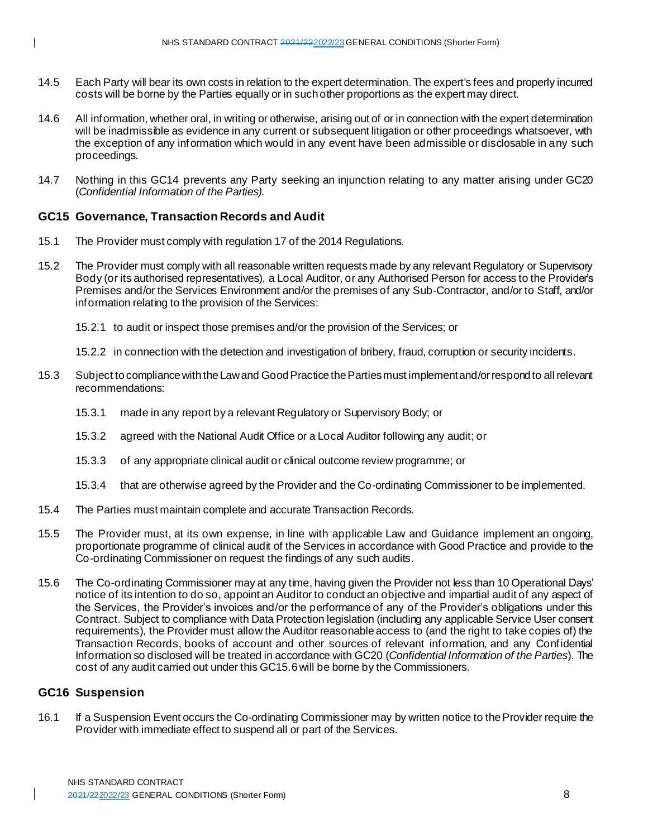- 14.5 Each Party will bear its own costs in relation to the expert determination. The expert's fees and properly incurred costs will be borne by the Parties equally or in such other proportions as the expert may direct.
- 14.6 All information, whether oral, in writing or otherwise, arising out of or in connection with the expert determination will be inadmissible as evidence in any current or subsequent litigation or other proceedings whatsoever, with the exception of any information which would in any event have been admissible or disclosable in any such proceedings.
- 14.7 Nothing in this GC14 prevents any Party seeking an injunction relating to any matter arising under GC20 (*Confidential Information of the Parties).*

# **GC15 Governance, Transaction Records and Audit**

- 15.1 The Provider must comply with regulation 17 of the 2014 Regulations.
- 15.2 The Provider must comply with all reasonable written requests made by any relevant Regulatory or Supervisory Body (or its authorised representatives), a Local Auditor, or any Authorised Person for access to the Provider's Premises and/or the Services Environment and/or the premises of any Sub-Contractor, and/or to Staff, and/or information relating to the provision of the Services:
	- 15.2.1 to audit or inspect those premises and/or the provision of the Services; or
	- 15.2.2 in connection with the detection and investigation of bribery, fraud, corruption or security incidents.
- 15.3 Subject to compliance with the Law and Good Practice the Parties must implement and/or respond to all relevant recommendations:
	- 15.3.1 made in any report by a relevant Regulatory or Supervisory Body; or
	- 15.3.2 agreed with the National Audit Office or a Local Auditor following any audit; or
	- 15.3.3 of any appropriate clinical audit or clinical outcome review programme; or
	- 15.3.4 that are otherwise agreed by the Provider and the Co-ordinating Commissioner to be implemented.
- 15.4 The Parties must maintain complete and accurate Transaction Records.
- 15.5 The Provider must, at its own expense, in line with applicable Law and Guidance implement an ongoing, proportionate programme of clinical audit of the Services in accordance with Good Practice and provide to the Co-ordinating Commissioner on request the findings of any such audits.
- 15.6 The Co-ordinating Commissioner may at any time, having given the Provider not less than 10 Operational Days' notice of its intention to do so, appoint an Auditor to conduct an objective and impartial audit of any aspect of the Services, the Provider's invoices and/or the performance of any of the Provider's obligations under this Contract. Subject to compliance with Data Protection legislation (including any applicable Service User consent requirements), the Provider must allow the Auditor reasonable access to (and the right to take copies of) the Transaction Records, books of account and other sources of relevant information, and any Confidential Information so disclosed will be treated in accordance with GC20 (*Confidential Information of the Parties*). The cost of any audit carried out under this GC15.6will be borne by the Commissioners.

#### **GC16 Suspension**

16.1 If a Suspension Event occurs the Co-ordinating Commissioner may by written notice to the Provider require the Provider with immediate effect to suspend all or part of the Services.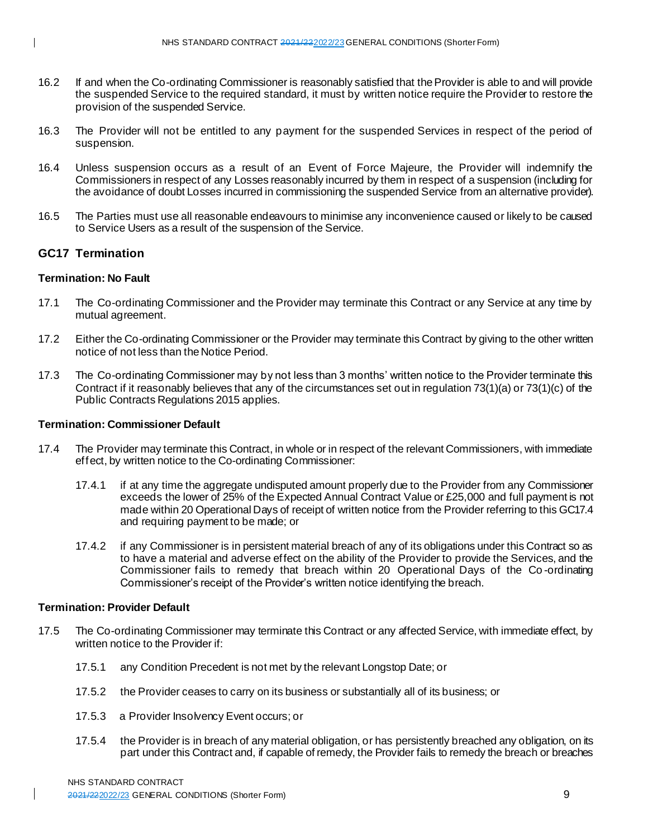- 16.2 If and when the Co-ordinating Commissioner is reasonably satisfied that the Provider is able to and will provide the suspended Service to the required standard, it must by written notice require the Provider to restore the provision of the suspended Service.
- 16.3 The Provider will not be entitled to any payment for the suspended Services in respect of the period of suspension.
- 16.4 Unless suspension occurs as a result of an Event of Force Majeure, the Provider will indemnify the Commissioners in respect of any Losses reasonably incurred by them in respect of a suspension (including for the avoidance of doubt Losses incurred in commissioning the suspended Service from an alternative provider).
- 16.5 The Parties must use all reasonable endeavours to minimise any inconvenience caused or likely to be caused to Service Users as a result of the suspension of the Service.

# **GC17 Termination**

# **Termination: No Fault**

- 17.1 The Co-ordinating Commissioner and the Provider may terminate this Contract or any Service at any time by mutual agreement.
- 17.2 Either the Co-ordinating Commissioner or the Provider may terminate this Contract by giving to the other written notice of not less than the Notice Period.
- 17.3 The Co-ordinating Commissioner may by not less than 3 months' written notice to the Provider terminate this Contract if it reasonably believes that any of the circumstances set out in regulation 73(1)(a) or 73(1)(c) of the Public Contracts Regulations 2015 applies.

# **Termination: Commissioner Default**

- 17.4 The Provider may terminate this Contract, in whole or in respect of the relevant Commissioners, with immediate effect, by written notice to the Co-ordinating Commissioner:
	- 17.4.1 if at any time the aggregate undisputed amount properly due to the Provider from any Commissioner exceeds the lower of 25% of the Expected Annual Contract Value or £25,000 and full payment is not made within 20 Operational Days of receipt of written notice from the Provider referring to this GC17.4 and requiring payment to be made; or
	- 17.4.2 if any Commissioner is in persistent material breach of any of its obligations under this Contract so as to have a material and adverse effect on the ability of the Provider to provide the Services, and the Commissioner fails to remedy that breach within 20 Operational Days of the Co -ordinating Commissioner's receipt of the Provider's written notice identifying the breach.

#### **Termination: Provider Default**

- 17.5 The Co-ordinating Commissioner may terminate this Contract or any affected Service, with immediate effect, by written notice to the Provider if:
	- 17.5.1 any Condition Precedent is not met by the relevant Longstop Date; or
	- 17.5.2 the Provider ceases to carry on its business or substantially all of its business; or
	- 17.5.3 a Provider Insolvency Event occurs; or
	- 17.5.4 the Provider is in breach of any material obligation, or has persistently breached any obligation, on its part under this Contract and, if capable of remedy, the Provider fails to remedy the breach or breaches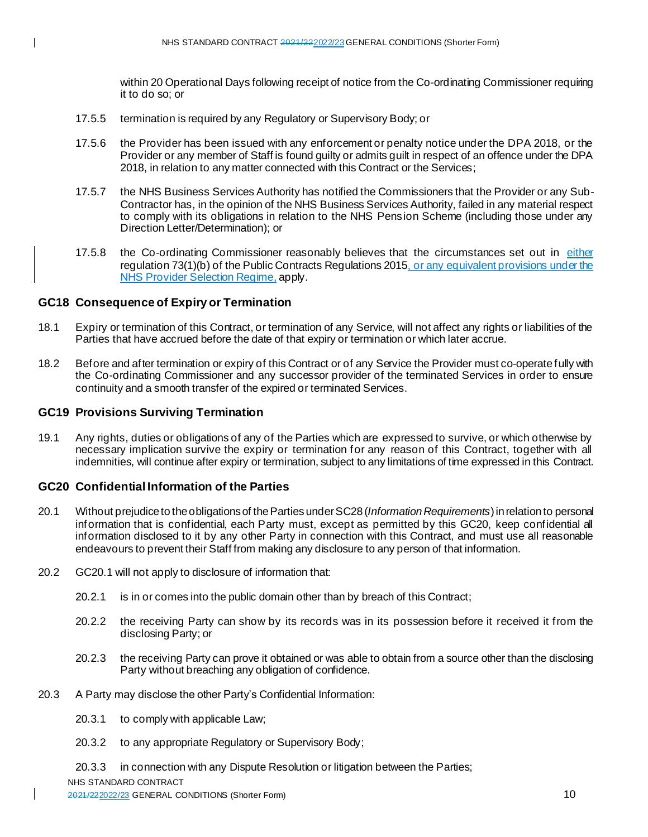within 20 Operational Days following receipt of notice from the Co-ordinating Commissioner requiring it to do so; or

- 17.5.5 termination is required by any Regulatory or Supervisory Body; or
- 17.5.6 the Provider has been issued with any enforcement or penalty notice under the DPA 2018, or the Provider or any member of Staff is found guilty or admits guilt in respect of an offence under the DPA 2018, in relation to any matter connected with this Contract or the Services;
- 17.5.7 the NHS Business Services Authority has notified the Commissioners that the Provider or any Sub-Contractor has, in the opinion of the NHS Business Services Authority, failed in any material respect to comply with its obligations in relation to the NHS Pension Scheme (including those under any Direction Letter/Determination); or
- 17.5.8 the Co-ordinating Commissioner reasonably believes that the circumstances set out in either regulation 73(1)(b) of the Public Contracts Regulations 2015, or any equivalent provisions under the NHS Provider Selection Regime, apply.

# **GC18 Consequence of Expiry or Termination**

- 18.1 Expiry or termination of this Contract, or termination of any Service, will not affect any rights or liabilities of the Parties that have accrued before the date of that expiry or termination or which later accrue.
- 18.2 Before and after termination or expiry of this Contract or of any Service the Provider must co-operate fully with the Co-ordinating Commissioner and any successor provider of the terminated Services in order to ensure continuity and a smooth transfer of the expired or terminated Services.

# **GC19 Provisions Surviving Termination**

19.1 Any rights, duties or obligations of any of the Parties which are expressed to survive, or which otherwise by necessary implication survive the expiry or termination for any reason of this Contract, together with all indemnities, will continue after expiry or termination, subject to any limitations of time expressed in this Contract.

#### **GC20 Confidential Information of the Parties**

- 20.1 Without prejudice to the obligations of the Parties under SC28 (*Information Requirements*)in relation to personal information that is confidential, each Party must, except as permitted by this GC20, keep confidential all information disclosed to it by any other Party in connection with this Contract, and must use all reasonable endeavours to prevent their Staff from making any disclosure to any person of that information.
- 20.2 GC20.1 will not apply to disclosure of information that:
	- 20.2.1 is in or comes into the public domain other than by breach of this Contract;
	- 20.2.2 the receiving Party can show by its records was in its possession before it received it from the disclosing Party; or
	- 20.2.3 the receiving Party can prove it obtained or was able to obtain from a source other than the disclosing Party without breaching any obligation of confidence.
- 20.3 A Party may disclose the other Party's Confidential Information:
	- 20.3.1 to comply with applicable Law;
	- 20.3.2 to any appropriate Regulatory or Supervisory Body;
	- 20.3.3 in connection with any Dispute Resolution or litigation between the Parties;

NHS STANDARD CONTRACT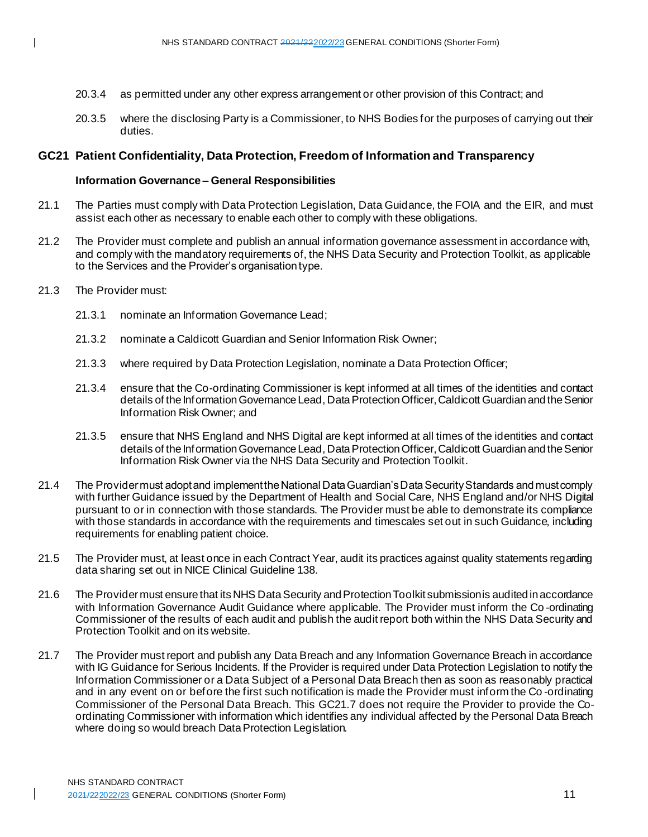- 20.3.4 as permitted under any other express arrangement or other provision of this Contract; and
- 20.3.5 where the disclosing Party is a Commissioner, to NHS Bodies for the purposes of carrying out their duties.

# **GC21 Patient Confidentiality, Data Protection, Freedom of Information and Transparency**

# **Information Governance – General Responsibilities**

- 21.1 The Parties must comply with Data Protection Legislation, Data Guidance, the FOIA and the EIR, and must assist each other as necessary to enable each other to comply with these obligations.
- 21.2 The Provider must complete and publish an annual information governance assessment in accordance with, and comply with the mandatory requirements of, the NHS Data Security and Protection Toolkit, as applicable to the Services and the Provider's organisation type.
- 21.3 The Provider must:
	- 21.3.1 nominate an Information Governance Lead;
	- 21.3.2 nominate a Caldicott Guardian and Senior Information Risk Owner;
	- 21.3.3 where required by Data Protection Legislation, nominate a Data Protection Officer;
	- 21.3.4 ensure that the Co-ordinating Commissioner is kept informed at all times of the identities and contact details of the Information Governance Lead, Data Protection Officer, Caldicott Guardian and the Senior Information Risk Owner; and
	- 21.3.5 ensure that NHS England and NHS Digital are kept informed at all times of the identities and contact details of the Information Governance Lead, Data Protection Officer, Caldicott Guardian and the Senior Information Risk Owner via the NHS Data Security and Protection Toolkit.
- 21.4 The Provider must adopt and implement the National Data Guardian's Data Security Standards and must comply with further Guidance issued by the Department of Health and Social Care, NHS England and/or NHS Digital pursuant to or in connection with those standards. The Provider must be able to demonstrate its compliance with those standards in accordance with the requirements and timescales set out in such Guidance, including requirements for enabling patient choice.
- 21.5 The Provider must, at least once in each Contract Year, audit its practices against quality statements regarding data sharing set out in NICE Clinical Guideline 138.
- 21.6 The Provider must ensure that its NHS Data Security and Protection Toolkit submission is audited in accordance with Information Governance Audit Guidance where applicable. The Provider must inform the Co -ordinating Commissioner of the results of each audit and publish the audit report both within the NHS Data Security and Protection Toolkit and on its website.
- 21.7 The Provider must report and publish any Data Breach and any Information Governance Breach in accordance with IG Guidance for Serious Incidents. If the Provider is required under Data Protection Legislation to notify the Information Commissioner or a Data Subject of a Personal Data Breach then as soon as reasonably practical and in any event on or before the first such notification is made the Provider must inform the Co -ordinating Commissioner of the Personal Data Breach. This GC21.7 does not require the Provider to provide the Coordinating Commissioner with information which identifies any individual affected by the Personal Data Breach where doing so would breach Data Protection Legislation.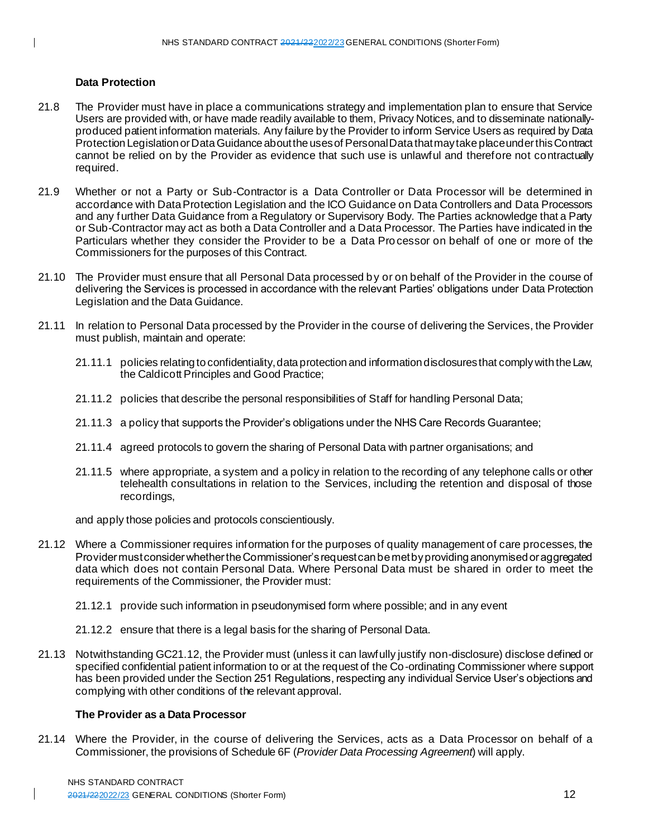#### **Data Protection**

- 21.8 The Provider must have in place a communications strategy and implementation plan to ensure that Service Users are provided with, or have made readily available to them, Privacy Notices, and to disseminate nationallyproduced patient information materials. Any failure by the Provider to inform Service Users as required by Data Protection Legislation or Data Guidance about the uses of Personal Data that may take place under this Contract cannot be relied on by the Provider as evidence that such use is unlawful and therefore not contractually required.
- 21.9 Whether or not a Party or Sub-Contractor is a Data Controller or Data Processor will be determined in accordance with Data Protection Legislation and the ICO Guidance on Data Controllers and Data Processors and any further Data Guidance from a Regulatory or Supervisory Body. The Parties acknowledge that a Party or Sub-Contractor may act as both a Data Controller and a Data Processor. The Parties have indicated in the Particulars whether they consider the Provider to be a Data Processor on behalf of one or more of the Commissioners for the purposes of this Contract.
- 21.10 The Provider must ensure that all Personal Data processed by or on behalf of the Provider in the course of delivering the Services is processed in accordance with the relevant Parties' obligations under Data Protection Legislation and the Data Guidance.
- 21.11 In relation to Personal Data processed by the Provider in the course of delivering the Services, the Provider must publish, maintain and operate:
	- 21.11.1 policies relating to confidentiality, data protection and information disclosures that comply with the Law, the Caldicott Principles and Good Practice;
	- 21.11.2 policies that describe the personal responsibilities of Staff for handling Personal Data;
	- 21.11.3 a policy that supports the Provider's obligations under the NHS Care Records Guarantee;
	- 21.11.4 agreed protocols to govern the sharing of Personal Data with partner organisations; and
	- 21.11.5 where appropriate, a system and a policy in relation to the recording of any telephone calls or other telehealth consultations in relation to the Services, including the retention and disposal of those recordings,

and apply those policies and protocols conscientiously.

- 21.12 Where a Commissioner requires information for the purposes of quality management of care processes, the Provider must consider whether the Commissioner's request can be met by providing anonymised or aggregated data which does not contain Personal Data. Where Personal Data must be shared in order to meet the requirements of the Commissioner, the Provider must:
	- 21.12.1 provide such information in pseudonymised form where possible; and in any event
	- 21.12.2 ensure that there is a legal basis for the sharing of Personal Data.
- 21.13 Notwithstanding GC21.12, the Provider must (unless it can lawfully justify non-disclosure) disclose defined or specified confidential patient information to or at the request of the Co-ordinating Commissioner where support has been provided under the Section 251 Regulations, respecting any individual Service User's objections and complying with other conditions of the relevant approval.

#### **The Provider as a Data Processor**

21.14 Where the Provider, in the course of delivering the Services, acts as a Data Processor on behalf of a Commissioner, the provisions of Schedule 6F (*Provider Data Processing Agreement*) will apply.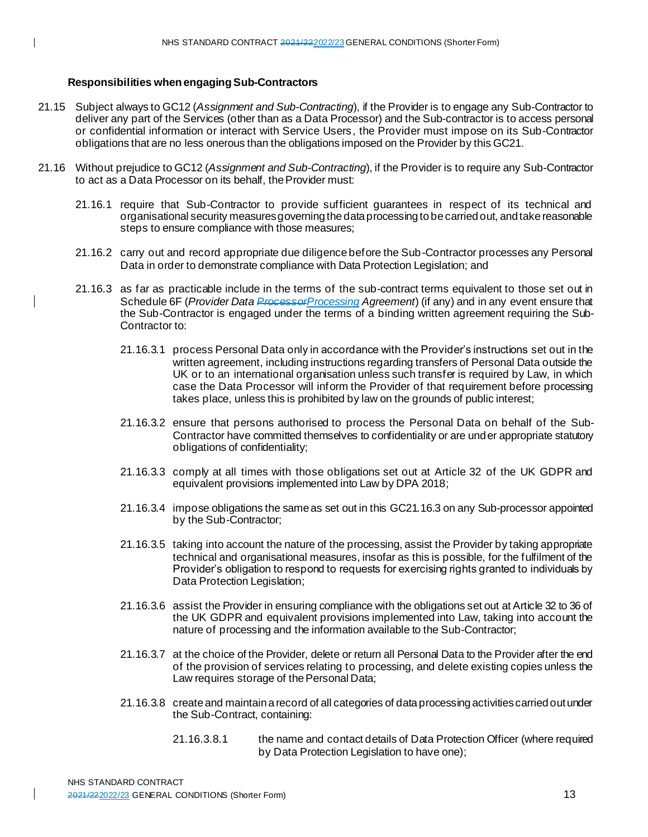# **Responsibilities when engaging Sub-Contractors**

- 21.15 Subject always to GC12 (*Assignment and Sub-Contracting*), if the Provider is to engage any Sub-Contractor to deliver any part of the Services (other than as a Data Processor) and the Sub-contractor is to access personal or confidential information or interact with Service Users, the Provider must impose on its Sub-Contractor obligations that are no less onerous than the obligations imposed on the Provider by this GC21.
- 21.16 Without prejudice to GC12 (*Assignment and Sub-Contracting*), if the Provider is to require any Sub-Contractor to act as a Data Processor on its behalf, the Provider must:
	- 21.16.1 require that Sub-Contractor to provide sufficient guarantees in respect of its technical and organisational security measures governing the data processing to be carried out, and take reasonable steps to ensure compliance with those measures;
	- 21.16.2 carry out and record appropriate due diligence before the Sub-Contractor processes any Personal Data in order to demonstrate compliance with Data Protection Legislation; and
	- 21.16.3 as far as practicable include in the terms of the sub-contract terms equivalent to those set out in Schedule 6F (*Provider Data ProcessorProcessing Agreement*) (if any) and in any event ensure that the Sub-Contractor is engaged under the terms of a binding written agreement requiring the Sub-Contractor to:
		- 21.16.3.1 process Personal Data only in accordance with the Provider's instructions set out in the written agreement, including instructions regarding transfers of Personal Data outside the UK or to an international organisation unless such transfer is required by Law, in which case the Data Processor will inform the Provider of that requirement before processing takes place, unless this is prohibited by law on the grounds of public interest;
		- 21.16.3.2 ensure that persons authorised to process the Personal Data on behalf of the Sub-Contractor have committed themselves to confidentiality or are under appropriate statutory obligations of confidentiality;
		- 21.16.3.3 comply at all times with those obligations set out at Article 32 of the UK GDPR and equivalent provisions implemented into Law by DPA 2018;
		- 21.16.3.4 impose obligations the same as set out in this GC21.16.3 on any Sub-processor appointed by the Sub-Contractor;
		- 21.16.3.5 taking into account the nature of the processing, assist the Provider by taking appropriate technical and organisational measures, insofar as this is possible, for the fulfilment of the Provider's obligation to respond to requests for exercising rights granted to individuals by Data Protection Legislation;
		- 21.16.3.6 assist the Provider in ensuring compliance with the obligations set out at Article 32 to 36 of the UK GDPR and equivalent provisions implemented into Law, taking into account the nature of processing and the information available to the Sub-Contractor;
		- 21.16.3.7 at the choice of the Provider, delete or return all Personal Data to the Provider after the end of the provision of services relating to processing, and delete existing copies unless the Law requires storage of the Personal Data;
		- 21.16.3.8 create and maintain a record of all categories of data processing activities carried out under the Sub-Contract, containing:
			- 21.16.3.8.1 the name and contact details of Data Protection Officer (where required by Data Protection Legislation to have one);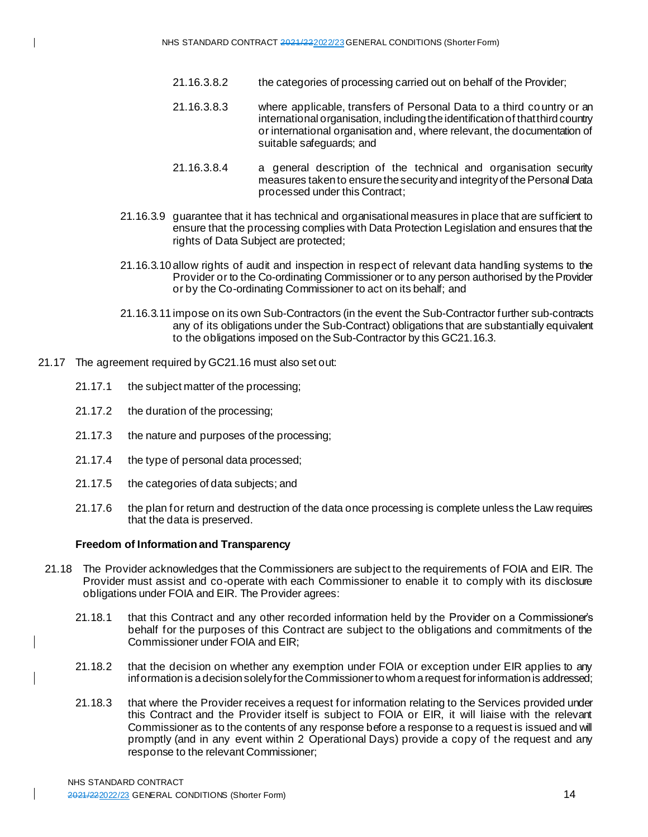- 21.16.3.8.2 the categories of processing carried out on behalf of the Provider;
- 21.16.3.8.3 where applicable, transfers of Personal Data to a third country or an international organisation, including the identification of that third country or international organisation and, where relevant, the documentation of suitable safeguards; and
- 21.16.3.8.4 a general description of the technical and organisation security measures taken to ensure the security and integrity of the Personal Data processed under this Contract;
- 21.16.3.9 guarantee that it has technical and organisational measures in place that are sufficient to ensure that the processing complies with Data Protection Legislation and ensures that the rights of Data Subject are protected;
- 21.16.3.10 allow rights of audit and inspection in respect of relevant data handling systems to the Provider or to the Co-ordinating Commissioner or to any person authorised by the Provider or by the Co-ordinating Commissioner to act on its behalf; and
- 21.16.3.11 impose on its own Sub-Contractors (in the event the Sub-Contractor further sub-contracts any of its obligations under the Sub-Contract) obligations that are substantially equivalent to the obligations imposed on the Sub-Contractor by this GC21.16.3.
- 21.17 The agreement required by GC21.16 must also set out:
	- 21.17.1 the subject matter of the processing;
	- 21.17.2 the duration of the processing;
	- 21.17.3 the nature and purposes of the processing;
	- 21.17.4 the type of personal data processed;
	- 21.17.5 the categories of data subjects; and
	- 21.17.6 the plan for return and destruction of the data once processing is complete unless the Law requires that the data is preserved.

#### **Freedom of Information and Transparency**

- 21.18 The Provider acknowledges that the Commissioners are subject to the requirements of FOIA and EIR. The Provider must assist and co-operate with each Commissioner to enable it to comply with its disclosure obligations under FOIA and EIR. The Provider agrees:
	- 21.18.1 that this Contract and any other recorded information held by the Provider on a Commissioner's behalf for the purposes of this Contract are subject to the obligations and commitments of the Commissioner under FOIA and EIR;
	- 21.18.2 that the decision on whether any exemption under FOIA or exception under EIR applies to any information is a decision solely for the Commissioner to whom a request for information is addressed;
	- 21.18.3 that where the Provider receives a request for information relating to the Services provided under this Contract and the Provider itself is subject to FOIA or EIR, it will liaise with the relevant Commissioner as to the contents of any response before a response to a request is issued and will promptly (and in any event within 2 Operational Days) provide a copy of the request and any response to the relevant Commissioner;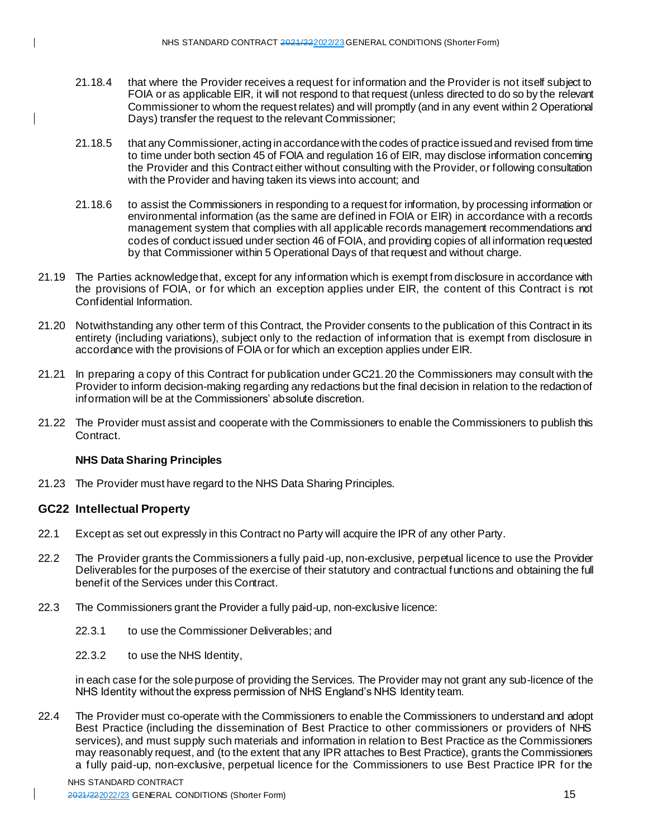- 21.18.4 that where the Provider receives a request for information and the Provider is not itself subject to FOIA or as applicable EIR, it will not respond to that request (unless directed to do so by the relevant Commissioner to whom the request relates) and will promptly (and in any event within 2 Operational Days) transfer the request to the relevant Commissioner;
- 21.18.5 that any Commissioner, acting in accordance with the codes of practice issued and revised from time to time under both section 45 of FOIA and regulation 16 of EIR, may disclose information concerning the Provider and this Contract either without consulting with the Provider, or following consultation with the Provider and having taken its views into account; and
- 21.18.6 to assist the Commissioners in responding to a request for information, by processing information or environmental information (as the same are defined in FOIA or EIR) in accordance with a records management system that complies with all applicable records management recommendations and codes of conduct issued under section 46 of FOIA, and providing copies of all information requested by that Commissioner within 5 Operational Days of that request and without charge.
- 21.19 The Parties acknowledge that, except for any information which is exempt from disclosure in accordance with the provisions of FOIA, or for which an exception applies under EIR, the content of this Contract is not Confidential Information.
- 21.20 Notwithstanding any other term of this Contract, the Provider consents to the publication of this Contract in its entirety (including variations), subject only to the redaction of information that is exempt from disclosure in accordance with the provisions of FOIA or for which an exception applies under EIR.
- 21.21 In preparing a copy of this Contract for publication under GC21.20 the Commissioners may consult with the Provider to inform decision-making regarding any redactions but the final decision in relation to the redaction of information will be at the Commissioners' absolute discretion.
- 21.22 The Provider must assist and cooperate with the Commissioners to enable the Commissioners to publish this Contract.

# **NHS Data Sharing Principles**

21.23 The Provider must have regard to the NHS Data Sharing Principles.

# **GC22 Intellectual Property**

- 22.1 Except as set out expressly in this Contract no Party will acquire the IPR of any other Party.
- 22.2 The Provider grants the Commissioners a fully paid-up, non-exclusive, perpetual licence to use the Provider Deliverables for the purposes of the exercise of their statutory and contractual functions and obtaining the full benefit of the Services under this Contract.
- 22.3 The Commissioners grant the Provider a fully paid-up, non-exclusive licence:
	- 22.3.1 to use the Commissioner Deliverables; and
	- 22.3.2 to use the NHS Identity,

in each case for the sole purpose of providing the Services. The Provider may not grant any sub-licence of the NHS Identity without the express permission of NHS England's NHS Identity team.

22.4 The Provider must co-operate with the Commissioners to enable the Commissioners to understand and adopt Best Practice (including the dissemination of Best Practice to other commissioners or providers of NHS services), and must supply such materials and information in relation to Best Practice as the Commissioners may reasonably request, and (to the extent that any IPR attaches to Best Practice), grants the Commissioners a fully paid-up, non-exclusive, perpetual licence for the Commissioners to use Best Practice IPR for the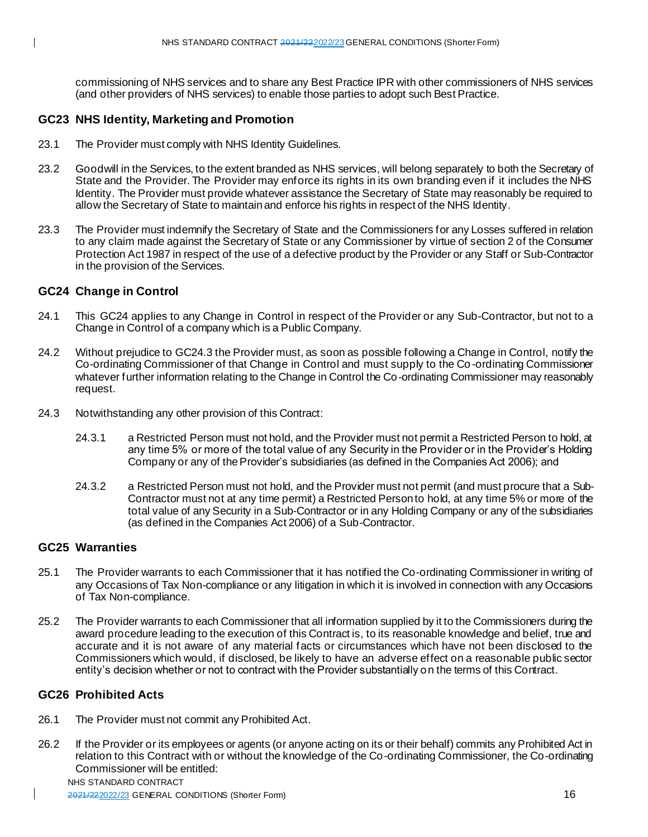commissioning of NHS services and to share any Best Practice IPR with other commissioners of NHS services (and other providers of NHS services) to enable those parties to adopt such Best Practice.

# **GC23 NHS Identity, Marketing and Promotion**

- 23.1 The Provider must comply with NHS Identity Guidelines.
- 23.2 Goodwill in the Services, to the extent branded as NHS services, will belong separately to both the Secretary of State and the Provider. The Provider may enforce its rights in its own branding even if it includes the NHS Identity. The Provider must provide whatever assistance the Secretary of State may reasonably be required to allow the Secretary of State to maintain and enforce his rights in respect of the NHS Identity.
- 23.3 The Provider must indemnify the Secretary of State and the Commissioners for any Losses suffered in relation to any claim made against the Secretary of State or any Commissioner by virtue of section 2 of the Consumer Protection Act 1987 in respect of the use of a defective product by the Provider or any Staff or Sub-Contractor in the provision of the Services.

# **GC24 Change in Control**

- 24.1 This GC24 applies to any Change in Control in respect of the Provider or any Sub-Contractor, but not to a Change in Control of a company which is a Public Company.
- 24.2 Without prejudice to GC24.3 the Provider must, as soon as possible following a Change in Control, notify the Co-ordinating Commissioner of that Change in Control and must supply to the Co -ordinating Commissioner whatever further information relating to the Change in Control the Co-ordinating Commissioner may reasonably request.
- 24.3 Notwithstanding any other provision of this Contract:
	- 24.3.1 a Restricted Person must not hold, and the Provider must not permit a Restricted Person to hold, at any time 5% or more of the total value of any Security in the Provider or in the Provider's Holding Company or any of the Provider's subsidiaries (as defined in the Companies Act 2006); and
	- 24.3.2 a Restricted Person must not hold, and the Provider must not permit (and must procure that a Sub-Contractor must not at any time permit) a Restricted Person to hold, at any time 5% or more of the total value of any Security in a Sub-Contractor or in any Holding Company or any of the subsidiaries (as defined in the Companies Act 2006) of a Sub-Contractor.

# **GC25 Warranties**

- 25.1 The Provider warrants to each Commissioner that it has notified the Co-ordinating Commissioner in writing of any Occasions of Tax Non-compliance or any litigation in which it is involved in connection with any Occasions of Tax Non-compliance.
- 25.2 The Provider warrants to each Commissioner that all information supplied by it to the Commissioners during the award procedure leading to the execution of this Contract is, to its reasonable knowledge and belief, true and accurate and it is not aware of any material facts or circumstances which have not been disclosed to the Commissioners which would, if disclosed, be likely to have an adverse effect on a reasonable public sector entity's decision whether or not to contract with the Provider substantially on the terms of this Contract.

# **GC26 Prohibited Acts**

- 26.1 The Provider must not commit any Prohibited Act.
- 26.2 If the Provider or its employees or agents (or anyone acting on its or their behalf) commits any Prohibited Act in relation to this Contract with or without the knowledge of the Co-ordinating Commissioner, the Co-ordinating Commissioner will be entitled:

NHS STANDARD CONTRACT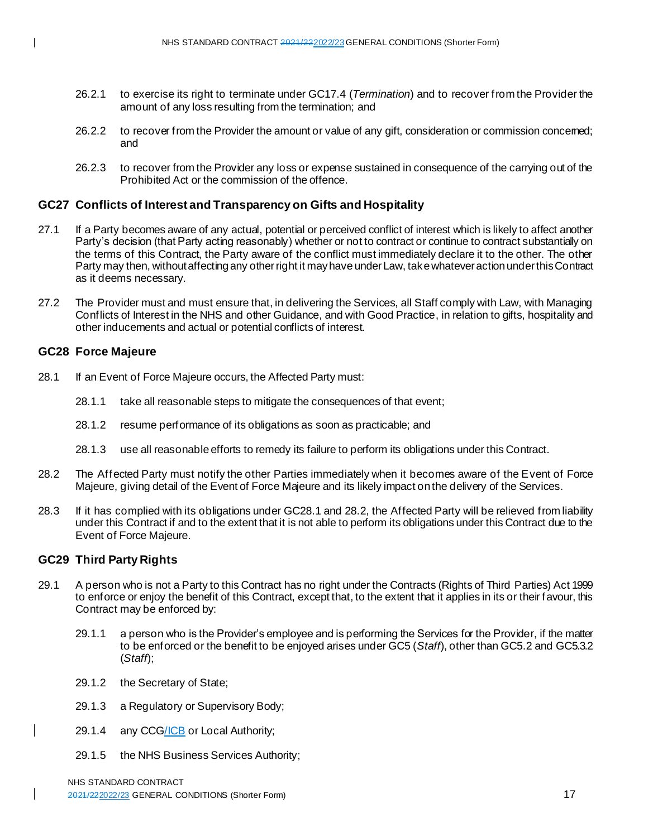- 26.2.1 to exercise its right to terminate under GC17.4 (*Termination*) and to recover from the Provider the amount of any loss resulting from the termination; and
- 26.2.2 to recover from the Provider the amount or value of any gift, consideration or commission concerned; and
- 26.2.3 to recover from the Provider any loss or expense sustained in consequence of the carrying out of the Prohibited Act or the commission of the offence.

# **GC27 Conflicts of Interest and Transparency on Gifts and Hospitality**

- 27.1 If a Party becomes aware of any actual, potential or perceived conflict of interest which is likely to affect another Party's decision (that Party acting reasonably) whether or not to contract or continue to contract substantially on the terms of this Contract, the Party aware of the conflict must immediately declare it to the other. The other Party may then, without affecting any other right it may have under Law, take whatever action under this Contract as it deems necessary.
- 27.2 The Provider must and must ensure that, in delivering the Services, all Staff comply with Law, with Managing Conflicts of Interest in the NHS and other Guidance, and with Good Practice, in relation to gifts, hospitality and other inducements and actual or potential conflicts of interest.

#### **GC28 Force Majeure**

- 28.1 If an Event of Force Majeure occurs, the Affected Party must:
	- 28.1.1 take all reasonable steps to mitigate the consequences of that event;
	- 28.1.2 resume performance of its obligations as soon as practicable; and
	- 28.1.3 use all reasonable efforts to remedy its failure to perform its obligations under this Contract.
- 28.2 The Affected Party must notify the other Parties immediately when it becomes aware of the Event of Force Majeure, giving detail of the Event of Force Majeure and its likely impact on the delivery of the Services.
- 28.3 If it has complied with its obligations under GC28.1 and 28.2, the Affected Party will be relieved from liability under this Contract if and to the extent that it is not able to perform its obligations under this Contract due to the Event of Force Majeure.

# **GC29 Third Party Rights**

- 29.1 A person who is not a Party to this Contract has no right under the Contracts (Rights of Third Parties) Act 1999 to enforce or enjoy the benefit of this Contract, except that, to the extent that it applies in its or their favour, this Contract may be enforced by:
	- 29.1.1 a person who is the Provider's employee and is performing the Services for the Provider, if the matter to be enforced or the benefit to be enjoyed arises under GC5 (*Staff*), other than GC5.2 and GC5.3.2 (*Staff*);
	- 29.1.2 the Secretary of State;
	- 29.1.3 a Regulatory or Supervisory Body;
	- 29.1.4 any CCG/ICB or Local Authority;
	- 29.1.5 the NHS Business Services Authority;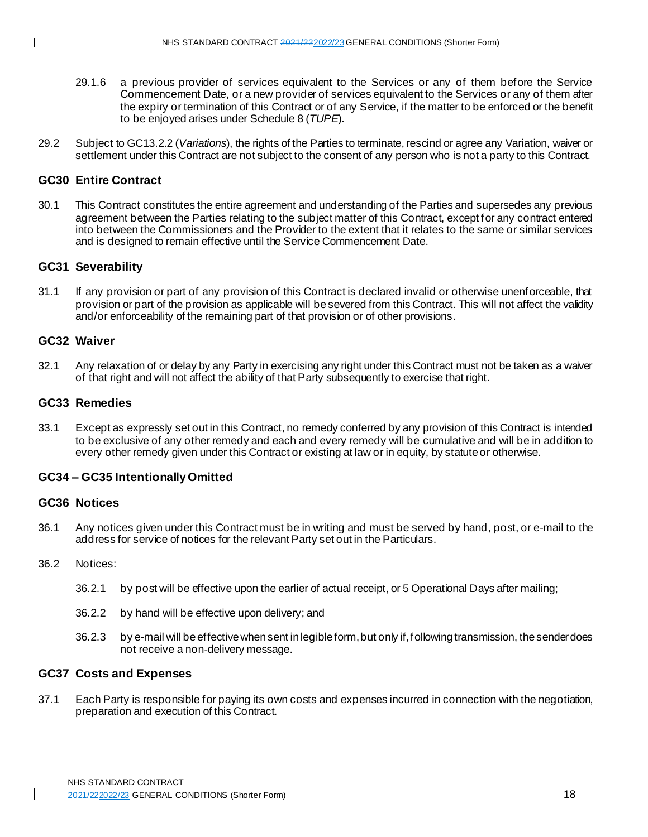- 29.1.6 a previous provider of services equivalent to the Services or any of them before the Service Commencement Date, or a new provider of services equivalent to the Services or any of them after the expiry or termination of this Contract or of any Service, if the matter to be enforced or the benefit to be enjoyed arises under Schedule 8 (*TUPE*).
- 29.2 Subject to GC13.2.2 (*Variations*), the rights of the Parties to terminate, rescind or agree any Variation, waiver or settlement under this Contract are not subject to the consent of any person who is not a party to this Contract.

# **GC30 Entire Contract**

30.1 This Contract constitutes the entire agreement and understanding of the Parties and supersedes any previous agreement between the Parties relating to the subject matter of this Contract, except for any contract entered into between the Commissioners and the Provider to the extent that it relates to the same or similar services and is designed to remain effective until the Service Commencement Date.

# **GC31 Severability**

31.1 If any provision or part of any provision of this Contract is declared invalid or otherwise unenforceable, that provision or part of the provision as applicable will be severed from this Contract. This will not affect the validity and/or enforceability of the remaining part of that provision or of other provisions.

# **GC32 Waiver**

32.1 Any relaxation of or delay by any Party in exercising any right under this Contract must not be taken as a waiver of that right and will not affect the ability of that Party subsequently to exercise that right.

# **GC33 Remedies**

33.1 Except as expressly set out in this Contract, no remedy conferred by any provision of this Contract is intended to be exclusive of any other remedy and each and every remedy will be cumulative and will be in addition to every other remedy given under this Contract or existing at law or in equity, by statute or otherwise.

# **GC34 – GC35 Intentionally Omitted**

#### **GC36 Notices**

36.1 Any notices given under this Contract must be in writing and must be served by hand, post, or e-mail to the address for service of notices for the relevant Party set out in the Particulars.

#### 36.2 Notices:

- 36.2.1 by post will be effective upon the earlier of actual receipt, or 5 Operational Days after mailing;
- 36.2.2 by hand will be effective upon delivery; and
- 36.2.3 by e-mail will be effective when sent in legible form, but only if, following transmission, the sender does not receive a non-delivery message.

# **GC37 Costs and Expenses**

37.1 Each Party is responsible for paying its own costs and expenses incurred in connection with the negotiation, preparation and execution of this Contract.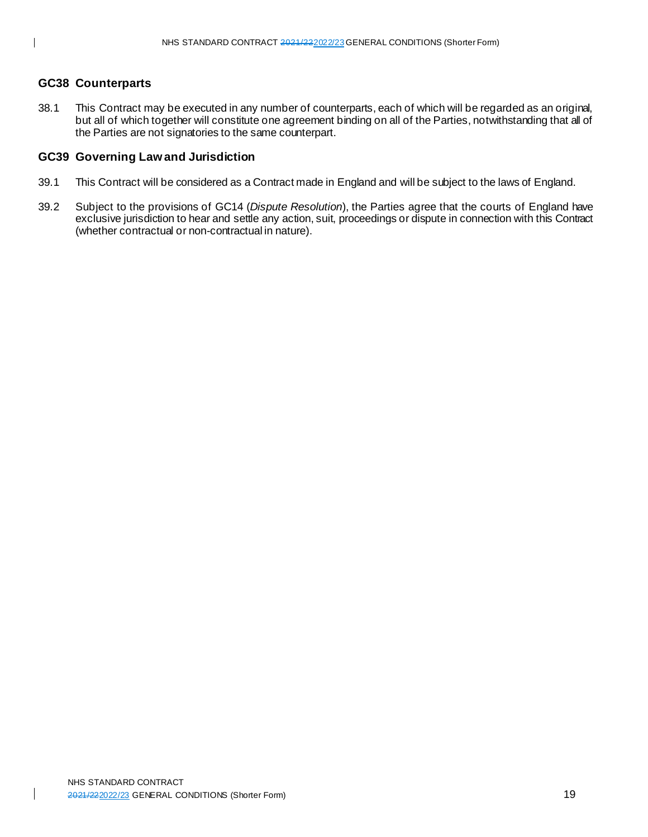# **GC38 Counterparts**

38.1 This Contract may be executed in any number of counterparts, each of which will be regarded as an original, but all of which together will constitute one agreement binding on all of the Parties, notwithstanding that all of the Parties are not signatories to the same counterpart.

# **GC39 Governing Law and Jurisdiction**

- 39.1 This Contract will be considered as a Contract made in England and will be subject to the laws of England.
- 39.2 Subject to the provisions of GC14 (*Dispute Resolution*), the Parties agree that the courts of England have exclusive jurisdiction to hear and settle any action, suit, proceedings or dispute in connection with this Contract (whether contractual or non-contractual in nature).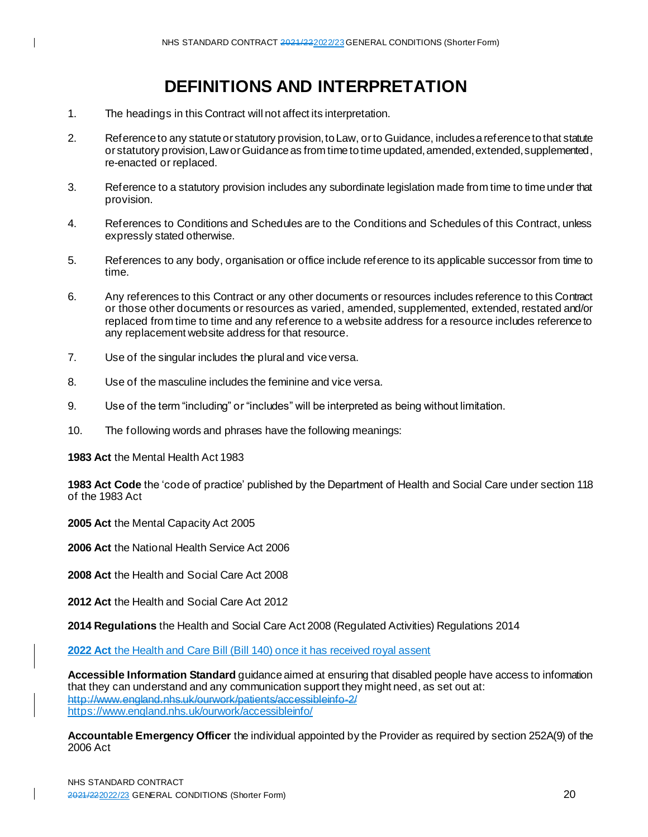# **DEFINITIONS AND INTERPRETATION**

- 1. The headings in this Contract will not affect its interpretation.
- 2. Reference to any statute or statutory provision, to Law, or to Guidance, includes a reference to that statute or statutory provision, Law or Guidance as from time to time updated, amended, extended, supplemented, re-enacted or replaced.
- 3. Reference to a statutory provision includes any subordinate legislation made from time to time under that provision.
- 4. References to Conditions and Schedules are to the Conditions and Schedules of this Contract, unless expressly stated otherwise.
- 5. References to any body, organisation or office include reference to its applicable successor from time to time.
- 6. Any references to this Contract or any other documents or resources includes reference to this Contract or those other documents or resources as varied, amended, supplemented, extended, restated and/or replaced from time to time and any reference to a website address for a resource includes reference to any replacement website address for that resource.
- 7. Use of the singular includes the plural and vice versa.
- 8. Use of the masculine includes the feminine and vice versa.
- 9. Use of the term "including" or "includes" will be interpreted as being without limitation.
- 10. The following words and phrases have the following meanings:

**1983 Act** the Mental Health Act 1983

**1983 Act Code** the 'code of practice' published by the Department of Health and Social Care under section 118 of the 1983 Act

**2005 Act** the Mental Capacity Act 2005

**2006 Act** the National Health Service Act 2006

**2008 Act** the Health and Social Care Act 2008

**2012 Act** the Health and Social Care Act 2012

**2014 Regulations** the Health and Social Care Act 2008 (Regulated Activities) Regulations 2014

**2022 Act** the Health and Care Bill (Bill 140) once it has received royal assent

**Accessible Information Standard** guidance aimed at ensuring that disabled people have access to information that they can understand and any communication support they might need, as set out at: http://www.england.nhs.uk/ourwork/patients/accessibleinfo-2/ <https://www.england.nhs.uk/ourwork/accessibleinfo/>

**Accountable Emergency Officer** the individual appointed by the Provider as required by section 252A(9) of the 2006 Act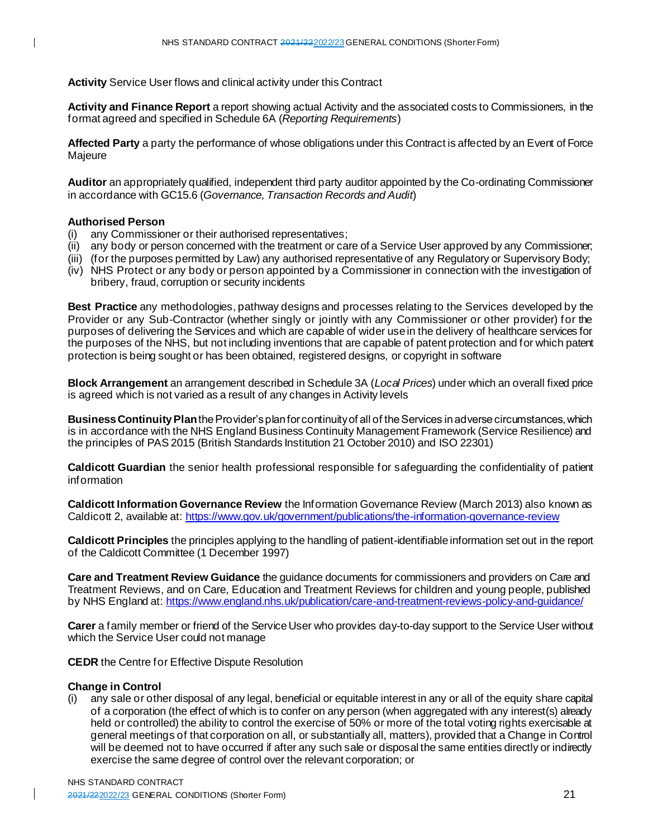**Activity** Service User flows and clinical activity under this Contract

**Activity and Finance Report** a report showing actual Activity and the associated costs to Commissioners, in the format agreed and specified in Schedule 6A (*Reporting Requirements*)

**Affected Party** a party the performance of whose obligations under this Contract is affected by an Event of Force Majeure

**Auditor** an appropriately qualified, independent third party auditor appointed by the Co-ordinating Commissioner in accordance with GC15.6 (*Governance, Transaction Records and Audit*)

#### **Authorised Person**

 $\mathbf I$ 

- (i) any Commissioner or their authorised representatives;
- (ii) any body or person concerned with the treatment or care of a Service User approved by any Commissioner;
- (iii) (for the purposes permitted by Law) any authorised representative of any Regulatory or Supervisory Body;
- (iv) NHS Protect or any body or person appointed by a Commissioner in connection with the investigation of bribery, fraud, corruption or security incidents

**Best Practice** any methodologies, pathway designs and processes relating to the Services developed by the Provider or any Sub-Contractor (whether singly or jointly with any Commissioner or other provider) for the purposes of delivering the Services and which are capable of wider use in the delivery of healthcare services for the purposes of the NHS, but not including inventions that are capable of patent protection and for which patent protection is being sought or has been obtained, registered designs, or copyright in software

**Block Arrangement** an arrangement described in Schedule 3A (*Local Prices*) under which an overall fixed price is agreed which is not varied as a result of any changes in Activity levels

**Business Continuity Plan** the Provider's plan for continuity of all of the Services in adverse circumstances, which is in accordance with the NHS England Business Continuity Management Framework (Service Resilience) and the principles of PAS 2015 (British Standards Institution 21 October 2010) and ISO 22301)

**Caldicott Guardian** the senior health professional responsible for safeguarding the confidentiality of patient information

**Caldicott Information Governance Review** the Information Governance Review (March 2013) also known as Caldicott 2, available at[: https://www.gov.uk/government/publications/the-information-governance-review](https://www.gov.uk/government/publications/the-information-governance-review)

**Caldicott Principles** the principles applying to the handling of patient-identifiable information set out in the report of the Caldicott Committee (1 December 1997)

**Care and Treatment Review Guidance** the guidance documents for commissioners and providers on Care and Treatment Reviews, and on Care, Education and Treatment Reviews for children and young people, published by NHS England at: <https://www.england.nhs.uk/publication/care-and-treatment-reviews-policy-and-guidance/>

**Carer** a family member or friend of the Service User who provides day-to-day support to the Service User without which the Service User could not manage

**CEDR** the Centre for Effective Dispute Resolution

#### **Change in Control**

(i) any sale or other disposal of any legal, beneficial or equitable interest in any or all of the equity share capital of a corporation (the effect of which is to confer on any person (when aggregated with any interest(s) already held or controlled) the ability to control the exercise of 50% or more of the total voting rights exercisable at general meetings of that corporation on all, or substantially all, matters), provided that a Change in Control will be deemed not to have occurred if after any such sale or disposal the same entities directly or indirectly exercise the same degree of control over the relevant corporation; or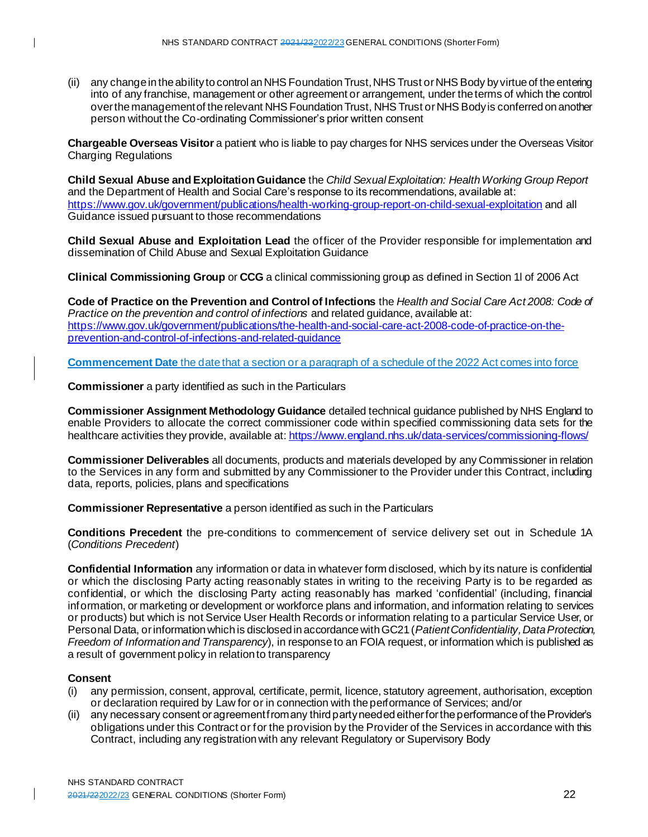(ii) any change in the ability to control an NHS Foundation Trust, NHS Trust or NHS Body by virtue of the entering into of any franchise, management or other agreement or arrangement, under the terms of which the control over the management of the relevant NHS Foundation Trust, NHS Trust or NHS Body is conferred on another person without the Co-ordinating Commissioner's prior written consent

**Chargeable Overseas Visitor** a patient who is liable to pay charges for NHS services under the Overseas Visitor Charging Regulations

**Child Sexual Abuse and Exploitation Guidance** the *Child Sexual Exploitation: Health Working Group Report*  and the Department of Health and Social Care's response to its recommendations, available at: <https://www.gov.uk/government/publications/health-working-group-report-on-child-sexual-exploitation> and all Guidance issued pursuant to those recommendations

**Child Sexual Abuse and Exploitation Lead** the officer of the Provider responsible for implementation and dissemination of Child Abuse and Sexual Exploitation Guidance

**Clinical Commissioning Group** or **CCG** a clinical commissioning group as defined in Section 1l of 2006 Act

**Code of Practice on the Prevention and Control of Infections** the *Health and Social Care Act 2008: Code of Practice on the prevention and control of infections* and related guidance, available at: [https://www.gov.uk/government/publications/the-health-and-social-care-act-2008-code-of-practice-on-the](https://www.gov.uk/government/publications/the-health-and-social-care-act-2008-code-of-practice-on-the-prevention-and-control-of-infections-and-related-guidance)[prevention-and-control-of-infections-and-related-guidance](https://www.gov.uk/government/publications/the-health-and-social-care-act-2008-code-of-practice-on-the-prevention-and-control-of-infections-and-related-guidance)

**Commencement Date** the date that a section or a paragraph of a schedule of the 2022 Act comes into force

**Commissioner** a party identified as such in the Particulars

**Commissioner Assignment Methodology Guidance** detailed technical guidance published by NHS England to enable Providers to allocate the correct commissioner code within specified commissioning data sets for the healthcare activities they provide, available at[: https://www.england.nhs.uk/data-services/commissioning-flows/](https://www.england.nhs.uk/data-services/commissioning-flows/)

**Commissioner Deliverables** all documents, products and materials developed by any Commissioner in relation to the Services in any form and submitted by any Commissioner to the Provider under this Contract, including data, reports, policies, plans and specifications

**Commissioner Representative** a person identified as such in the Particulars

**Conditions Precedent** the pre-conditions to commencement of service delivery set out in Schedule 1A (*Conditions Precedent*)

**Confidential Information** any information or data in whatever form disclosed, which by its nature is confidential or which the disclosing Party acting reasonably states in writing to the receiving Party is to be regarded as confidential, or which the disclosing Party acting reasonably has marked 'confidential' (including, financial information, or marketing or development or workforce plans and information, and information relating to services or products) but which is not Service User Health Records or information relating to a particular Service User, or Personal Data, or information which is disclosed in accordance with GC21 (*Patient Confidentiality, Data Protection, Freedom of Information and Transparency*), in response to an FOIA request, or information which is published as a result of government policy in relation to transparency

# **Consent**

- (i) any permission, consent, approval, certificate, permit, licence, statutory agreement, authorisation, exception or declaration required by Law for or in connection with the performance of Services; and/or
- (ii) any necessary consent or agreement from any third party needed either for the performance of the Provider's obligations under this Contract or for the provision by the Provider of the Services in accordance with this Contract, including any registration with any relevant Regulatory or Supervisory Body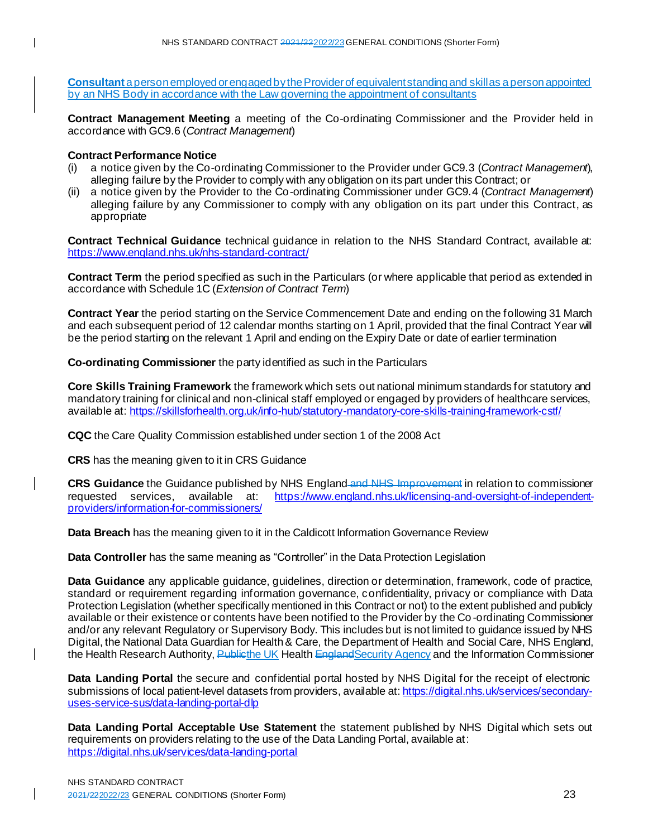**Consultant** a person employed or engaged by the Provider of equivalent standing and skill as a person appointed by an NHS Body in accordance with the Law governing the appointment of consultants

**Contract Management Meeting** a meeting of the Co-ordinating Commissioner and the Provider held in accordance with GC9.6 (*Contract Management*)

# **Contract Performance Notice**

- (i) a notice given by the Co-ordinating Commissioner to the Provider under GC9.3 (*Contract Management*), alleging failure by the Provider to comply with any obligation on its part under this Contract; or
- (ii) a notice given by the Provider to the Co-ordinating Commissioner under GC9.4 (*Contract Management*) alleging failure by any Commissioner to comply with any obligation on its part under this Contract, as appropriate

**Contract Technical Guidance** technical guidance in relation to the NHS Standard Contract, available at: <https://www.england.nhs.uk/nhs-standard-contract/>

**Contract Term** the period specified as such in the Particulars (or where applicable that period as extended in accordance with Schedule 1C (*Extension of Contract Term*)

**Contract Year** the period starting on the Service Commencement Date and ending on the following 31 March and each subsequent period of 12 calendar months starting on 1 April, provided that the final Contract Year will be the period starting on the relevant 1 April and ending on the Expiry Date or date of earlier termination

**Co-ordinating Commissioner** the party identified as such in the Particulars

**Core Skills Training Framework** the framework which sets out national minimum standards for statutory and mandatory training for clinical and non-clinical staff employed or engaged by providers of healthcare services, available at: <https://skillsforhealth.org.uk/info-hub/statutory-mandatory-core-skills-training-framework-cstf/>

**CQC** the Care Quality Commission established under section 1 of the 2008 Act

**CRS** has the meaning given to it in CRS Guidance

**CRS Guidance** the Guidance published by NHS England and NHS Improvement in relation to commissioner requested services, available at: [https://www.england.nhs.uk/licensing-and-oversight-of-independent](https://www.england.nhs.uk/licensing-and-oversight-of-independent-providers/information-for-commissioners/)[providers/information-for-commissioners/](https://www.england.nhs.uk/licensing-and-oversight-of-independent-providers/information-for-commissioners/)

**Data Breach** has the meaning given to it in the Caldicott Information Governance Review

**Data Controller** has the same meaning as "Controller" in the Data Protection Legislation

**Data Guidance** any applicable guidance, guidelines, direction or determination, framework, code of practice, standard or requirement regarding information governance, confidentiality, privacy or compliance with Data Protection Legislation (whether specifically mentioned in this Contract or not) to the extent published and publicly available or their existence or contents have been notified to the Provider by the Co -ordinating Commissioner and/or any relevant Regulatory or Supervisory Body. This includes but is not limited to guidance issued by NHS Digital, the National Data Guardian for Health & Care, the Department of Health and Social Care, NHS England, the Health Research Authority, Publicthe UK Health EnglandSecurity Agency and the Information Commissioner

**Data Landing Portal** the secure and confidential portal hosted by NHS Digital for the receipt of electronic submissions of local patient-level datasets from providers, available at: [https://digital.nhs.uk/services/secondary](https://digital.nhs.uk/services/secondary-uses-service-sus/data-landing-portal-dlp)[uses-service-sus/data-landing-portal-dlp](https://digital.nhs.uk/services/secondary-uses-service-sus/data-landing-portal-dlp)

**Data Landing Portal Acceptable Use Statement** the statement published by NHS Digital which sets out requirements on providers relating to the use of the Data Landing Portal, available at: <https://digital.nhs.uk/services/data-landing-portal>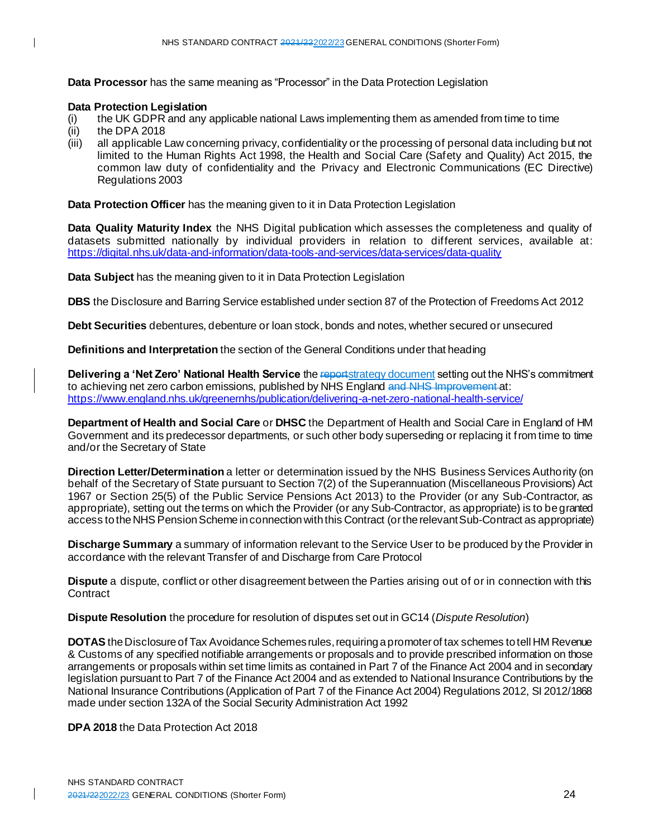**Data Processor** has the same meaning as "Processor" in the Data Protection Legislation

# **Data Protection Legislation**

- (i) the UK GDPR and any applicable national Laws implementing them as amended from time to time
- (ii) the DPA 2018
- (iii) all applicable Law concerning privacy, confidentiality or the processing of personal data including but not limited to the Human Rights Act 1998, the Health and Social Care (Safety and Quality) Act 2015, the common law duty of confidentiality and the Privacy and Electronic Communications (EC Directive) Regulations 2003

**Data Protection Officer** has the meaning given to it in Data Protection Legislation

**Data Quality Maturity Index** the NHS Digital publication which assesses the completeness and quality of datasets submitted nationally by individual providers in relation to different services, available at: <https://digital.nhs.uk/data-and-information/data-tools-and-services/data-services/data-quality>

**Data Subject** has the meaning given to it in Data Protection Legislation

**DBS** the Disclosure and Barring Service established under section 87 of the Protection of Freedoms Act 2012

**Debt Securities** debentures, debenture or loan stock, bonds and notes, whether secured or unsecured

**Definitions and Interpretation** the section of the General Conditions under that heading

**Delivering a 'Net Zero' National Health Service** the reportstrategy document setting out the NHS's commitment to achieving net zero carbon emissions, published by NHS England and NHS Improvement at: <https://www.england.nhs.uk/greenernhs/publication/delivering-a-net-zero-national-health-service/>

**Department of Health and Social Care** or **DHSC** the Department of Health and Social Care in England of HM Government and its predecessor departments, or such other body superseding or replacing it from time to time and/or the Secretary of State

**Direction Letter/Determination** a letter or determination issued by the NHS Business Services Authority (on behalf of the Secretary of State pursuant to Section 7(2) of the Superannuation (Miscellaneous Provisions) Act 1967 or Section 25(5) of the Public Service Pensions Act 2013) to the Provider (or any Sub-Contractor, as appropriate), setting out the terms on which the Provider (or any Sub-Contractor, as appropriate) is to be granted access to the NHS Pension Scheme in connection with this Contract (or the relevant Sub-Contract as appropriate)

**Discharge Summary** a summary of information relevant to the Service User to be produced by the Provider in accordance with the relevant Transfer of and Discharge from Care Protocol

**Dispute** a dispute, conflict or other disagreement between the Parties arising out of or in connection with this **Contract** 

**Dispute Resolution** the procedure for resolution of disputes set out in GC14 (*Dispute Resolution*)

**DOTAS** the Disclosure of Tax Avoidance Schemes rules, requiring a promoter of tax schemes to tell HM Revenue & Customs of any specified notifiable arrangements or proposals and to provide prescribed information on those arrangements or proposals within set time limits as contained in Part 7 of the Finance Act 2004 and in secondary legislation pursuant to Part 7 of the Finance Act 2004 and as extended to National Insurance Contributions by the National Insurance Contributions (Application of Part 7 of the Finance Act 2004) Regulations 2012, SI 2012/1868 made under section 132A of the Social Security Administration Act 1992

**DPA 2018** the Data Protection Act 2018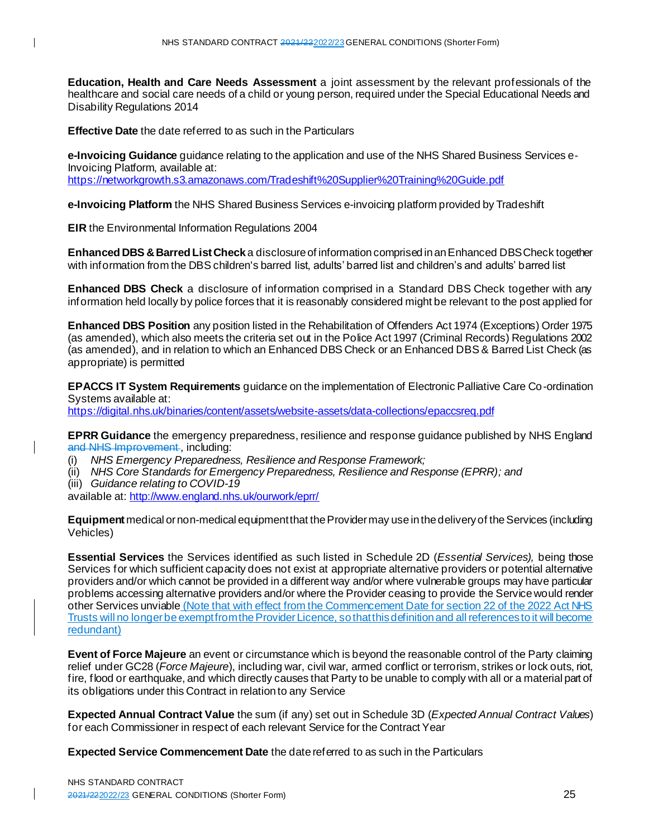**Education, Health and Care Needs Assessment** a joint assessment by the relevant professionals of the healthcare and social care needs of a child or young person, required under the Special Educational Needs and Disability Regulations 2014

**Effective Date** the date referred to as such in the Particulars

**e-Invoicing Guidance** guidance relating to the application and use of the NHS Shared Business Services e-Invoicing Platform, available at: <https://networkgrowth.s3.amazonaws.com/Tradeshift%20Supplier%20Training%20Guide.pdf>

**e-Invoicing Platform** the NHS Shared Business Services e-invoicing platform provided by Tradeshift

**EIR** the Environmental Information Regulations 2004

**Enhanced DBS & Barred List Check** a disclosure of information comprised in an Enhanced DBS Check together with information from the DBS children's barred list, adults' barred list and children's and adults' barred list

**Enhanced DBS Check** a disclosure of information comprised in a Standard DBS Check together with any information held locally by police forces that it is reasonably considered might be relevant to the post applied for

**Enhanced DBS Position** any position listed in the Rehabilitation of Offenders Act 1974 (Exceptions) Order 1975 (as amended), which also meets the criteria set out in the Police Act 1997 (Criminal Records) Regulations 2002 (as amended), and in relation to which an Enhanced DBS Check or an Enhanced DBS & Barred List Check (as appropriate) is permitted

**EPACCS IT System Requirements** guidance on the implementation of Electronic Palliative Care Co-ordination Systems available at: <https://digital.nhs.uk/binaries/content/assets/website-assets/data-collections/epaccsreq.pdf>

**EPRR Guidance** the emergency preparedness, resilience and response guidance published by NHS England and NHS Improvement, including:

(i) *NHS Emergency Preparedness, Resilience and Response Framework;*

(ii) *NHS Core Standards for Emergency Preparedness, Resilience and Response (EPRR); and*

(iii) *Guidance relating to COVID-19*

available at: <http://www.england.nhs.uk/ourwork/eprr/>

**Equipment** medical or non-medical equipment that the Provider may use in the delivery of the Services (including Vehicles)

**Essential Services** the Services identified as such listed in Schedule 2D (*Essential Services),* being those Services for which sufficient capacity does not exist at appropriate alternative providers or potential alternative providers and/or which cannot be provided in a different way and/or where vulnerable groups may have particular problems accessing alternative providers and/or where the Provider ceasing to provide the Service would render other Services unviable (Note that with effect from the Commencement Date for section 22 of the 2022 Act NHS Trusts will no longer be exempt from the Provider Licence, so that this definition and all references to it will become redundant)

**Event of Force Majeure** an event or circumstance which is beyond the reasonable control of the Party claiming relief under GC28 (*Force Majeure*), including war, civil war, armed conflict or terrorism, strikes or lock outs, riot, fire, flood or earthquake, and which directly causes that Party to be unable to comply with all or a material part of its obligations under this Contract in relation to any Service

**Expected Annual Contract Value** the sum (if any) set out in Schedule 3D (*Expected Annual Contract Values*) for each Commissioner in respect of each relevant Service for the Contract Year

**Expected Service Commencement Date** the date referred to as such in the Particulars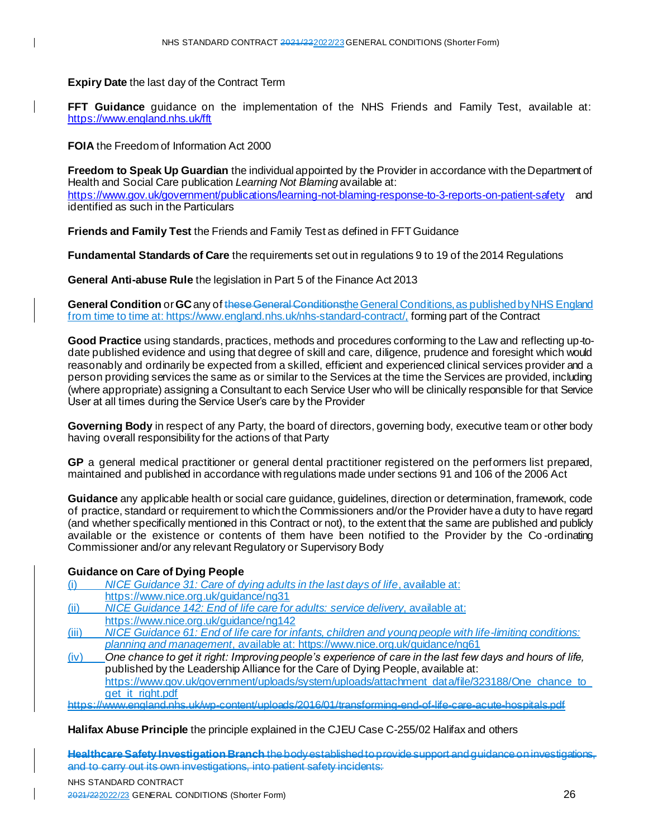**Expiry Date** the last day of the Contract Term

**FFT Guidance** guidance on the implementation of the NHS Friends and Family Test, available at: <https://www.england.nhs.uk/fft>

**FOIA** the Freedom of Information Act 2000

**Freedom to Speak Up Guardian** the individual appointed by the Provider in accordance with the Department of Health and Social Care publication *Learning Not Blaming* available at: <https://www.gov.uk/government/publications/learning-not-blaming-response-to-3-reports-on-patient-safety> and identified as such in the Particulars

**Friends and Family Test** the Friends and Family Test as defined in FFT Guidance

**Fundamental Standards of Care** the requirements set out in regulations 9 to 19 of the 2014 Regulations

**General Anti-abuse Rule** the legislation in Part 5 of the Finance Act 2013

**General Condition** or **GC** any of these General Conditionsthe General Conditions,as published by NHS England from time to time at[: https://www.england.nhs.uk/nhs-standard-contract/](https://www.england.nhs.uk/nhs-standard-contract/), forming part of the Contract

**Good Practice** using standards, practices, methods and procedures conforming to the Law and reflecting up-todate published evidence and using that degree of skill and care, diligence, prudence and foresight which would reasonably and ordinarily be expected from a skilled, efficient and experienced clinical services provider and a person providing services the same as or similar to the Services at the time the Services are provided, including (where appropriate) assigning a Consultant to each Service User who will be clinically responsible for that Service User at all times during the Service User's care by the Provider

**Governing Body** in respect of any Party, the board of directors, governing body, executive team or other body having overall responsibility for the actions of that Party

**GP** a general medical practitioner or general dental practitioner registered on the performers list prepared, maintained and published in accordance with regulations made under sections 91 and 106 of the 2006 Act

**Guidance** any applicable health or social care guidance, guidelines, direction or determination, framework, code of practice, standard or requirement to which the Commissioners and/or the Provider have a duty to have regard (and whether specifically mentioned in this Contract or not), to the extent that the same are published and publicly available or the existence or contents of them have been notified to the Provider by the Co -ordinating Commissioner and/or any relevant Regulatory or Supervisory Body

# **Guidance on Care of Dying People**

(i) *NICE Guidance 31: Care of dying adults in the last days of life*, available at: <https://www.nice.org.uk/guidance/ng31> (ii) *NICE Guidance 142: End of life care for adults: service delivery*, available at: <https://www.nice.org.uk/guidance/ng142> (iii) *NICE Guidance 61: End of life care for infants, children and young people with life-limiting conditions: planning and management*, available at: <https://www.nice.org.uk/guidance/ng61> (iv) *One chance to get it right: Improving people's experience of care in the last few days and hours of life,*  published by the Leadership Alliance for the Care of Dying People, available at: https://www.gov.uk/government/uploads/system/uploads/attachment\_data/file/323188/One\_chance\_to [get\\_it\\_right.pdf](https://www.gov.uk/government/uploads/system/uploads/attachment_data/file/323188/One_chance_to_get_it_right.pdf)

https://www.england.nhs.uk/wp-content/uploads/2016/01/transforming-end-of-life-care-acute-hospitals.pdf

#### **Halifax Abuse Principle** the principle explained in the CJEU Case C-255/02 Halifax and others

**Healthcare Safety Investigation Branch** the body established to provide support and guidance and to carry out its own investigations, into patient safety incidents: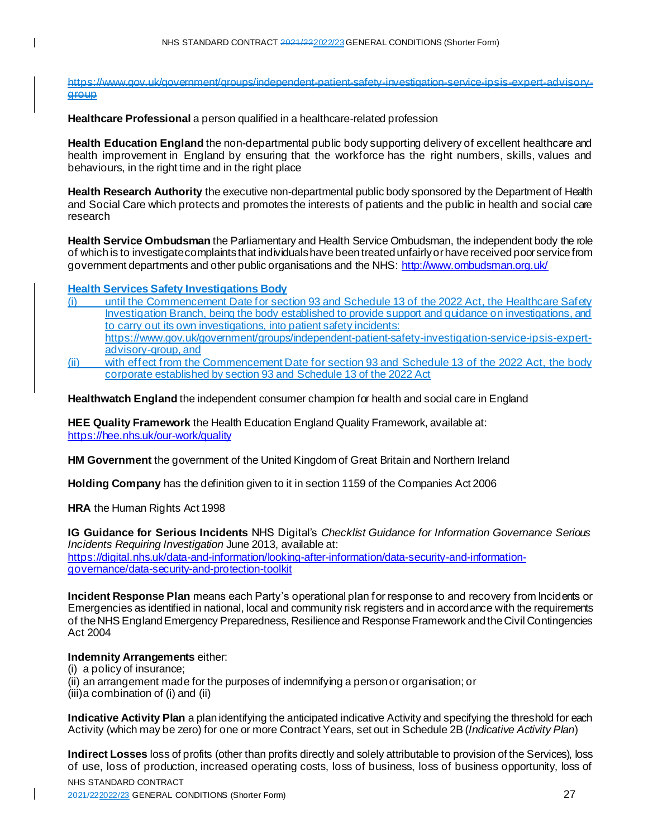https://www.gov.uk/government/groups/independent-patient-safety-investigation-service-ipsis-expert-advisory**aroup** 

**Healthcare Professional** a person qualified in a healthcare-related profession

**Health Education England** the non-departmental public body supporting delivery of excellent healthcare and health improvement in England by ensuring that the workforce has the right numbers, skills, values and behaviours, in the right time and in the right place

**Health Research Authority** the executive non-departmental public body sponsored by the Department of Health and Social Care which protects and promotes the interests of patients and the public in health and social care research

**Health Service Ombudsman** the Parliamentary and Health Service Ombudsman, the independent body the role of which is to investigate complaints that individuals have been treated unfairly or have received poor service from government departments and other public organisations and the NHS[: http://www.ombudsman.org.uk/](http://www.ombudsman.org.uk/)

**Health Services Safety Investigations Body**

- (i) until the Commencement Date for section 93 and Schedule 13 of the 2022 Act, the Healthcare Safety Investigation Branch, being the body established to provide support and guidance on investigations, and to carry out its own investigations, into patient safety incidents: [https://www.gov.uk/government/groups/independent-patient-safety-investigation-service-ipsis-expert](https://www.gov.uk/government/groups/independent-patient-safety-investigation-service-ipsis-expert-advisory-group)[advisory-group](https://www.gov.uk/government/groups/independent-patient-safety-investigation-service-ipsis-expert-advisory-group), and
- (ii) with effect from the Commencement Date for section 93 and Schedule 13 of the 2022 Act, the body corporate established by section 93 and Schedule 13 of the 2022 Act

**Healthwatch England** the independent consumer champion for health and social care in England

**HEE Quality Framework** the Health Education England Quality Framework, available at: <https://hee.nhs.uk/our-work/quality>

**HM Government** the government of the United Kingdom of Great Britain and Northern Ireland

**Holding Company** has the definition given to it in section 1159 of the Companies Act 2006

**HRA** the Human Rights Act 1998

**IG Guidance for Serious Incidents** NHS Digital's *Checklist Guidance for Information Governance Serious Incidents Requiring Investigation* June 2013, available at:

[https://digital.nhs.uk/data-and-information/looking-after-information/data-security-and-information](https://digital.nhs.uk/data-and-information/looking-after-information/data-security-and-information-governance/data-security-and-protection-toolkit)[governance/data-security-and-protection-toolkit](https://digital.nhs.uk/data-and-information/looking-after-information/data-security-and-information-governance/data-security-and-protection-toolkit)

**Incident Response Plan** means each Party's operational plan for response to and recovery from Incidents or Emergencies as identified in national, local and community risk registers and in accordance with the requirements of the NHS England Emergency Preparedness, Resilience and Response Framework and the Civil Contingencies Act 2004

# **Indemnity Arrangements** either:

(i) a policy of insurance;

(ii) an arrangement made for the purposes of indemnifying a person or organisation; or  $(iii)$ a combination of  $(i)$  and  $(ii)$ 

**Indicative Activity Plan** a plan identifying the anticipated indicative Activity and specifying the threshold for each Activity (which may be zero) for one or more Contract Years, set out in Schedule 2B (*Indicative Activity Plan*)

NHS STANDARD CONTRACT **Indirect Losses** loss of profits (other than profits directly and solely attributable to provision of the Services), loss of use, loss of production, increased operating costs, loss of business, loss of business opportunity, loss of

2021/222022/23 GENERAL CONDITIONS (Shorter Form) 27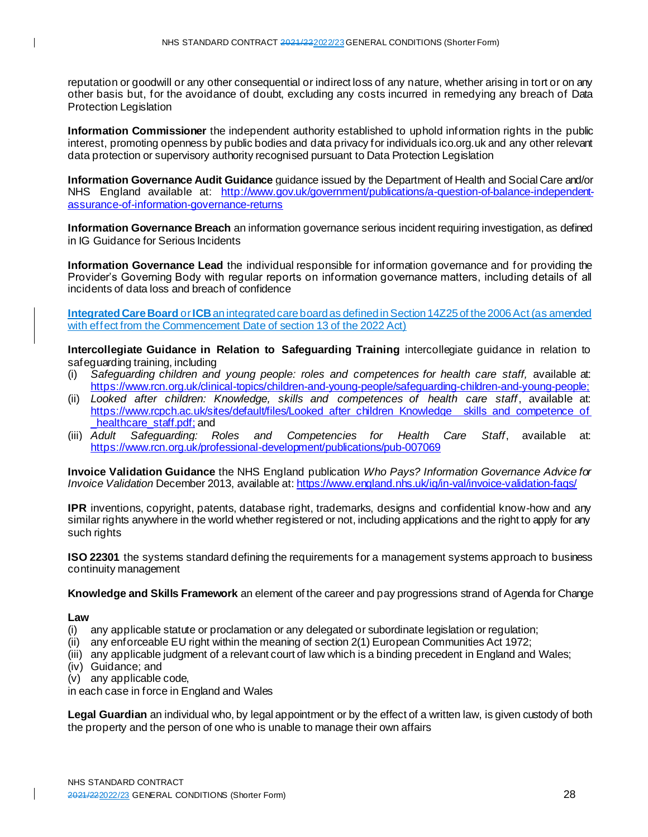reputation or goodwill or any other consequential or indirect loss of any nature, whether arising in tort or on any other basis but, for the avoidance of doubt, excluding any costs incurred in remedying any breach of Data Protection Legislation

**Information Commissioner** the independent authority established to uphold information rights in the public interest, promoting openness by public bodies and data privacy for individuals ico.org.uk and any other relevant data protection or supervisory authority recognised pursuant to Data Protection Legislation

**Information Governance Audit Guidance** guidance issued by the Department of Health and Social Care and/or NHS England available at: [http://www.gov.uk/government/publications/a-question-of-balance-independent](http://www.gov.uk/government/publications/a-question-of-balance-independent-assurance-of-information-governance-returns)[assurance-of-information-governance-returns](http://www.gov.uk/government/publications/a-question-of-balance-independent-assurance-of-information-governance-returns)

**Information Governance Breach** an information governance serious incident requiring investigation, as defined in IG Guidance for Serious Incidents

**Information Governance Lead** the individual responsible for information governance and for providing the Provider's Governing Body with regular reports on information governance matters, including details of all incidents of data loss and breach of confidence

**Integrated Care Board** or **ICB** an integrated care board as defined in Section 14Z25 of the 2006 Act (as amended with effect from the Commencement Date of section 13 of the 2022 Act)

**Intercollegiate Guidance in Relation to Safeguarding Training** intercollegiate guidance in relation to safeguarding training, including

- (i) *Safeguarding children and young people: roles and competences for health care staff,* available at: <https://www.rcn.org.uk/clinical-topics/children-and-young-people/safeguarding-children-and-young-people>;
- (ii) *Looked after children: Knowledge, skills and competences of health care staff*, available at: [https://www.rcpch.ac.uk/sites/default/files/Looked\\_after\\_children\\_Knowledge\\_\\_skills\\_and\\_competence\\_of](https://www.rcpch.ac.uk/sites/default/files/Looked_after_children_Knowledge__skills_and_competence_of_healthcare_staff.pdf) healthcare staff.pdf; and
- (iii) *Adult Safeguarding: Roles and Competencies for Health Care Staff*, available at: <https://www.rcn.org.uk/professional-development/publications/pub-007069>

**Invoice Validation Guidance** the NHS England publication *Who Pays? Information Governance Advice for Invoice Validation* December 2013, available at: <https://www.england.nhs.uk/ig/in-val/invoice-validation-faqs/>

**IPR** inventions, copyright, patents, database right, trademarks, designs and confidential know-how and any similar rights anywhere in the world whether registered or not, including applications and the right to apply for any such rights

**ISO 22301** the systems standard defining the requirements for a management systems approach to business continuity management

**Knowledge and Skills Framework** an element of the career and pay progressions strand of Agenda for Change

#### **Law**

- (i) any applicable statute or proclamation or any delegated or subordinate legislation or regulation;
- (ii) any enforceable EU right within the meaning of section 2(1) European Communities Act 1972;
- (iii) any applicable judgment of a relevant court of law which is a binding precedent in England and Wales;
- (iv) Guidance; and
- (v) any applicable code,

in each case in force in England and Wales

**Legal Guardian** an individual who, by legal appointment or by the effect of a written law, is given custody of both the property and the person of one who is unable to manage their own affairs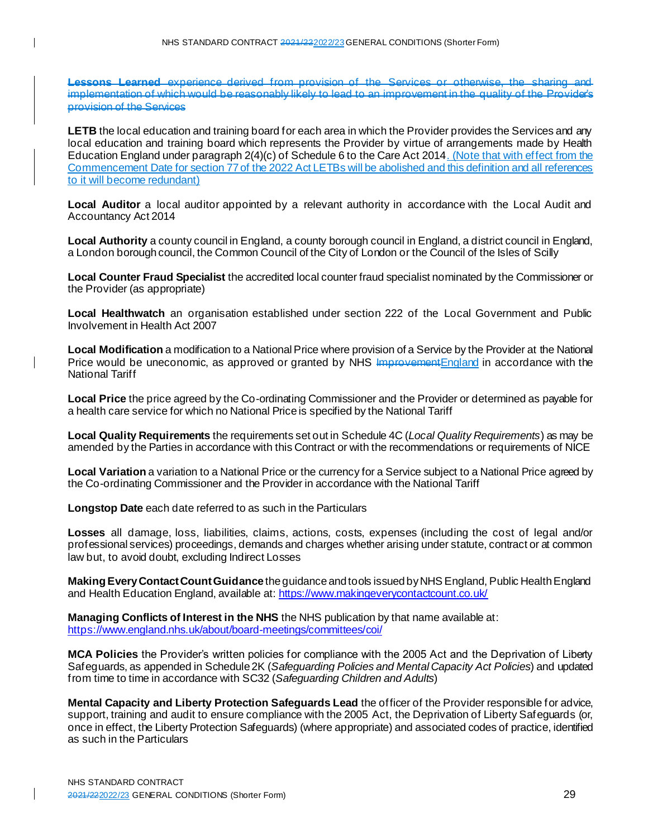**Lessons Learned** experience derived from provision of the Services or otherwise, the sharing implementation of which would be reasonably likely to lead to an improvement in the quality of the Provider's provision of the Services

**LETB** the local education and training board for each area in which the Provider provides the Services and any local education and training board which represents the Provider by virtue of arrangements made by Health Education England under paragraph 2(4)(c) of Schedule 6 to the Care Act 2014. (Note that with effect from the Commencement Date for section 77 of the 2022 Act LETBs will be abolished and this definition and all references to it will become redundant)

**Local Auditor** a local auditor appointed by a relevant authority in accordance with the Local Audit and Accountancy Act 2014

**Local Authority** a county council in England, a county borough council in England, a district council in England, a London borough council, the Common Council of the City of London or the Council of the Isles of Scilly

**Local Counter Fraud Specialist** the accredited local counter fraud specialist nominated by the Commissioner or the Provider (as appropriate)

**Local Healthwatch** an organisation established under section 222 of the Local Government and Public Involvement in Health Act 2007

**Local Modification** a modification to a National Price where provision of a Service by the Provider at the National Price would be uneconomic, as approved or granted by NHS Improvement England in accordance with the National Tariff

**Local Price** the price agreed by the Co-ordinating Commissioner and the Provider or determined as payable for a health care service for which no National Price is specified by the National Tariff

**Local Quality Requirements** the requirements set out in Schedule 4C (*Local Quality Requirements*) as may be amended by the Parties in accordance with this Contract or with the recommendations or requirements of NICE

**Local Variation** a variation to a National Price or the currency for a Service subject to a National Price agreed by the Co-ordinating Commissioner and the Provider in accordance with the National Tariff

**Longstop Date** each date referred to as such in the Particulars

**Losses** all damage, loss, liabilities, claims, actions, costs, expenses (including the cost of legal and/or professional services) proceedings, demands and charges whether arising under statute, contract or at common law but, to avoid doubt, excluding Indirect Losses

**Making Every Contact Count Guidance** the guidance and tools issued by NHS England, Public Health England and Health Education England, available at: <https://www.makingeverycontactcount.co.uk/>

**Managing Conflicts of Interest in the NHS** the NHS publication by that name available at: <https://www.england.nhs.uk/about/board-meetings/committees/coi/>

**MCA Policies** the Provider's written policies for compliance with the 2005 Act and the Deprivation of Liberty Safeguards, as appended in Schedule 2K (*Safeguarding Policies and Mental Capacity Act Policies*) and updated from time to time in accordance with SC32 (*Safeguarding Children and Adults*)

**Mental Capacity and Liberty Protection Safeguards Lead** the officer of the Provider responsible for advice, support, training and audit to ensure compliance with the 2005 Act, the Deprivation of Liberty Safeguards (or, once in effect, the Liberty Protection Safeguards) (where appropriate) and associated codes of practice, identified as such in the Particulars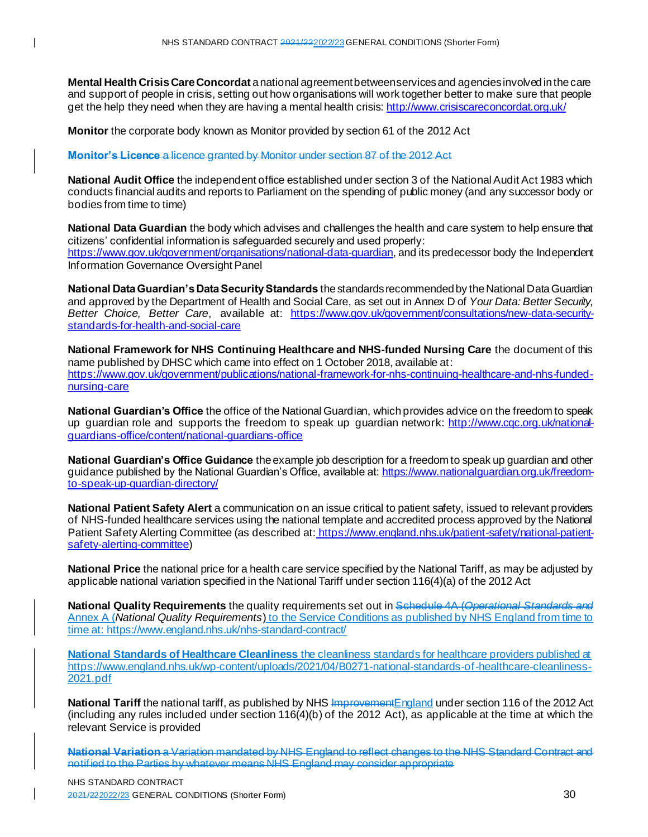**Mental Health Crisis Care Concordat** a national agreement between services and agencies involved in the care and support of people in crisis, setting out how organisations will work together better to make sure that people get the help they need when they are having a mental health crisis: <http://www.crisiscareconcordat.org.uk/>

**Monitor** the corporate body known as Monitor provided by section 61 of the 2012 Act

**Monitor's Licence** a licence granted by Monitor under section 87 of the 2012 Act

**National Audit Office** the independent office established under section 3 of the National Audit Act 1983 which conducts financial audits and reports to Parliament on the spending of public money (and any successor body or bodies from time to time)

**National Data Guardian** the body which advises and challenges the health and care system to help ensure that citizens' confidential information is safeguarded securely and used properly: <https://www.gov.uk/government/organisations/national-data-guardian>, and its predecessor body the Independent Information Governance Oversight Panel

**National Data Guardian's Data Security Standards** the standards recommended by the National Data Guardian and approved by the Department of Health and Social Care, as set out in Annex D of *Your Data: Better Security, Better Choice, Better Care*, available at: [https://www.gov.uk/government/consultations/new-data-security](https://www.gov.uk/government/consultations/new-data-security-standards-for-health-and-social-care)[standards-for-health-and-social-care](https://www.gov.uk/government/consultations/new-data-security-standards-for-health-and-social-care)

**National Framework for NHS Continuing Healthcare and NHS-funded Nursing Care** the document of this name published by DHSC which came into effect on 1 October 2018, available at: [https://www.gov.uk/government/publications/national-framework-for-nhs-continuing-healthcare-and-nhs-funded](https://www.gov.uk/government/publications/national-framework-for-nhs-continuing-healthcare-and-nhs-funded-nursing-care)[nursing-care](https://www.gov.uk/government/publications/national-framework-for-nhs-continuing-healthcare-and-nhs-funded-nursing-care)

**National Guardian's Office** the office of the National Guardian, which provides advice on the freedom to speak up guardian role and supports the freedom to speak up guardian network: [http://www.cqc.org.uk/national](http://www.cqc.org.uk/national-guardians-office/content/national-guardians-office)[guardians-office/content/national-guardians-office](http://www.cqc.org.uk/national-guardians-office/content/national-guardians-office)

**National Guardian's Office Guidance** the example job description for a freedom to speak up guardian and other guidance published by the National Guardian's Office, available at: [https://www.nationalguardian.org.uk/freedom](https://www.nationalguardian.org.uk/freedom-to-speak-up-guardian-directory/)[to-speak-up-guardian-directory/](https://www.nationalguardian.org.uk/freedom-to-speak-up-guardian-directory/)

**National Patient Safety Alert** a communication on an issue critical to patient safety, issued to relevant providers of NHS-funded healthcare services using the national template and accredited process approved by the National Patient Safety Alerting Committee (as described at: https://www.england.nhs.uk/patient-safety/national-patientsafety-alerting-committee)

**National Price** the national price for a health care service specified by the National Tariff, as may be adjusted by applicable national variation specified in the National Tariff under section 116(4)(a) of the 2012 Act

**National Quality Requirements** the quality requirements set out in Schedule 4A (*Operational Standards and*  Annex A (*National Quality Requirements*) to the Service Conditions as published by NHS England from time to time at: https://www.england.nhs.uk/nhs-standard-contract/

**National Standards of Healthcare Cleanliness** the cleanliness standards for healthcare providers published at [https://www.england.nhs.uk/wp-content/uploads/2021/04/B0271-national-standards-of-healthcare-cleanliness-](https://www.england.nhs.uk/wp-content/uploads/2021/04/B0271-national-standards-of-healthcare-cleanliness-2021.pdf)[2021.pdf](https://www.england.nhs.uk/wp-content/uploads/2021/04/B0271-national-standards-of-healthcare-cleanliness-2021.pdf)

**National Tariff** the national tariff, as published by NHS Improvement England under section 116 of the 2012 Act (including any rules included under section 116(4)(b) of the 2012 Act), as applicable at the time at which the relevant Service is provided

**National Variation** a Variation mandated by NHS England to reflect changes to the NHS Standard Contract and notified to the Parties by whatever means NHS England may consider appropriate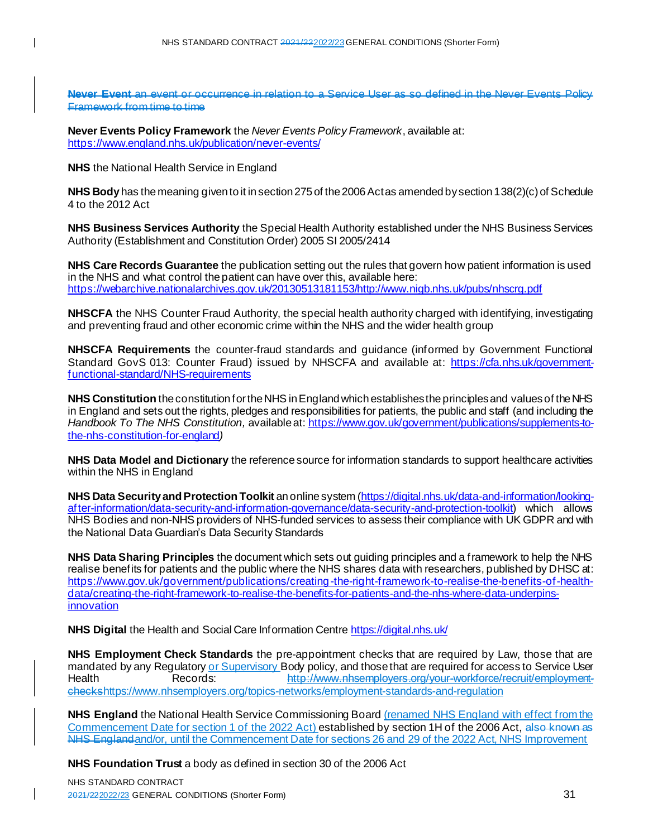Never Event an event or occurrence in relation to a Service User as so defined in the Never Events Polic Framework from time to time

**Never Events Policy Framework** the *Never Events Policy Framework*, available at: <https://www.england.nhs.uk/publication/never-events/>

**NHS** the National Health Service in England

**NHS Body** has the meaning given to it in section 275 of the 2006 Act as amended by section 138(2)(c) of Schedule 4 to the 2012 Act

**NHS Business Services Authority** the Special Health Authority established under the NHS Business Services Authority (Establishment and Constitution Order) 2005 SI 2005/2414

**NHS Care Records Guarantee** the publication setting out the rules that govern how patient information is used in the NHS and what control the patient can have over this, available here: [https://webarchive.nationalarchives.gov.uk/20130513181153/http://www.nigb.nhs.uk/pubs/nhscrg.pdf](https://webarchive.nationalarchives.gov.uk/20130513181153/http:/www.nigb.nhs.uk/pubs/nhscrg.pdf)

**NHSCFA** the NHS Counter Fraud Authority, the special health authority charged with identifying, investigating and preventing fraud and other economic crime within the NHS and the wider health group

**NHSCFA Requirements** the counter-fraud standards and guidance (informed by Government Functional Standard GovS 013: Counter Fraud) issued by NHSCFA and available at: [https://cfa.nhs.uk/government](https://cfa.nhs.uk/government-functional-standard/NHS-requirements)[functional-standard/NHS-requirements](https://cfa.nhs.uk/government-functional-standard/NHS-requirements)

**NHS Constitution** the constitution for the NHS in England which establishes the principles and valuesof the NHS in England and sets out the rights, pledges and responsibilities for patients, the public and staff (and including the *Handbook To The NHS Constitution,* available at: [https://www.gov.uk/government/publications/supplements-to](https://www.gov.uk/government/publications/supplements-to-the-nhs-constitution-for-england)[the-nhs-constitution-for-england](https://www.gov.uk/government/publications/supplements-to-the-nhs-constitution-for-england)*)*

**NHS Data Model and Dictionary** the reference source for information standards to support healthcare activities within the NHS in England

**NHS Data Security and Protection Toolkit** an online syste[m \(https://digital.nhs.uk/data-and-information/looking](https://digital.nhs.uk/data-and-information/looking-after-information/data-security-and-information-governance/data-security-and-protection-toolkit)[after-information/data-security-and-information-governance/data-security-and-protection-toolkit](https://digital.nhs.uk/data-and-information/looking-after-information/data-security-and-information-governance/data-security-and-protection-toolkit)) which allows NHS Bodies and non-NHS providers of NHS-funded services to assess their compliance with UK GDPR and with the National Data Guardian's Data Security Standards

**NHS Data Sharing Principles** the document which sets out guiding principles and a framework to help the NHS realise benefits for patients and the public where the NHS shares data with researchers, published by DHSC at: [https://www.gov.uk/government/publications/creating-the-right-framework-to-realise-the-benefits-of-health](https://www.gov.uk/government/publications/creating-the-right-framework-to-realise-the-benefits-of-health-data/creating-the-right-framework-to-realise-the-benefits-for-patients-and-the-nhs-where-data-underpins-innovation)[data/creating-the-right-framework-to-realise-the-benefits-for-patients-and-the-nhs-where-data-underpins](https://www.gov.uk/government/publications/creating-the-right-framework-to-realise-the-benefits-of-health-data/creating-the-right-framework-to-realise-the-benefits-for-patients-and-the-nhs-where-data-underpins-innovation)innovation

**NHS Digital** the Health and Social Care Information Centr[e https://digital.nhs.uk/](https://digital.nhs.uk/)

**NHS Employment Check Standards** the pre-appointment checks that are required by Law, those that are mandated by any Regulatory or Supervisory Body policy, and those that are required for access to Service User Health Records: http://www.nhsemployers.org/your-workforce/recruit/employmentcheck[shttps://www.nhsemployers.org/topics-networks/employment-standards-and-regulation](https://www.nhsemployers.org/topics-networks/employment-standards-and-regulation)

**NHS England** the National Health Service Commissioning Board (renamed NHS England with effect from the Commencement Date for section 1 of the 2022 Act) established by section 1H of the 2006 Act, also known as NHS Englandand/or, until the Commencement Date for sections 26 and 29 of the 2022 Act, NHS Improvement

**NHS Foundation Trust** a body as defined in section 30 of the 2006 Act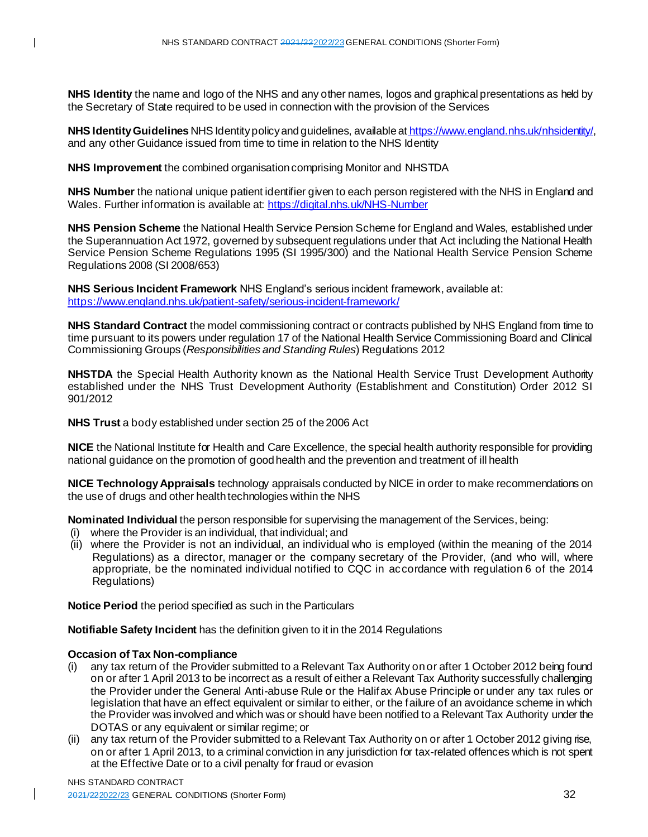**NHS Identity** the name and logo of the NHS and any other names, logos and graphical presentations as held by the Secretary of State required to be used in connection with the provision of the Services

**NHS Identity Guidelines** NHS Identity policy and guidelines, available at [https://www.england.nhs.uk/nhsidentity/,](https://www.england.nhs.uk/nhsidentity/) and any other Guidance issued from time to time in relation to the NHS Identity

**NHS Improvement** the combined organisation comprising Monitor and NHSTDA

**NHS Number** the national unique patient identifier given to each person registered with the NHS in England and Wales. Further information is available at[: https://digital.nhs.uk/NHS-Number](https://digital.nhs.uk/NHS-Number)

**NHS Pension Scheme** the National Health Service Pension Scheme for England and Wales, established under the Superannuation Act 1972, governed by subsequent regulations under that Act including the National Health Service Pension Scheme Regulations 1995 (SI 1995/300) and the National Health Service Pension Scheme Regulations 2008 (SI 2008/653)

**NHS Serious Incident Framework** NHS England's serious incident framework, available at: <https://www.england.nhs.uk/patient-safety/serious-incident-framework/>

**NHS Standard Contract** the model commissioning contract or contracts published by NHS England from time to time pursuant to its powers under regulation 17 of the National Health Service Commissioning Board and Clinical Commissioning Groups (*Responsibilities and Standing Rules*) Regulations 2012

**NHSTDA** the Special Health Authority known as the National Health Service Trust Development Authority established under the NHS Trust Development Authority (Establishment and Constitution) Order 2012 SI 901/2012

**NHS Trust** a body established under section 25 of the 2006 Act

**NICE** the National Institute for Health and Care Excellence, the special health authority responsible for providing national guidance on the promotion of good health and the prevention and treatment of ill health

**NICE Technology Appraisals** technology appraisals conducted by NICE in order to make recommendations on the use of drugs and other health technologies within the NHS

**Nominated Individual** the person responsible for supervising the management of the Services, being:

- (i) where the Provider is an individual, that individual; and
- (ii) where the Provider is not an individual, an individual who is employed (within the meaning of the 2014 Regulations) as a director, manager or the company secretary of the Provider, (and who will, where appropriate, be the nominated individual notified to CQC in accordance with regulation 6 of the 2014 Regulations)

**Notice Period** the period specified as such in the Particulars

**Notifiable Safety Incident** has the definition given to it in the 2014 Regulations

#### **Occasion of Tax Non-compliance**

- (i) any tax return of the Provider submitted to a Relevant Tax Authority on or after 1 October 2012 being found on or after 1 April 2013 to be incorrect as a result of either a Relevant Tax Authority successfully challenging the Provider under the General Anti-abuse Rule or the Halifax Abuse Principle or under any tax rules or legislation that have an effect equivalent or similar to either, or the failure of an avoidance scheme in which the Provider was involved and which was or should have been notified to a Relevant Tax Authority under the DOTAS or any equivalent or similar regime; or
- (ii) any tax return of the Provider submitted to a Relevant Tax Authority on or after 1 October 2012 giving rise, on or after 1 April 2013, to a criminal conviction in any jurisdiction for tax-related offences which is not spent at the Effective Date or to a civil penalty for fraud or evasion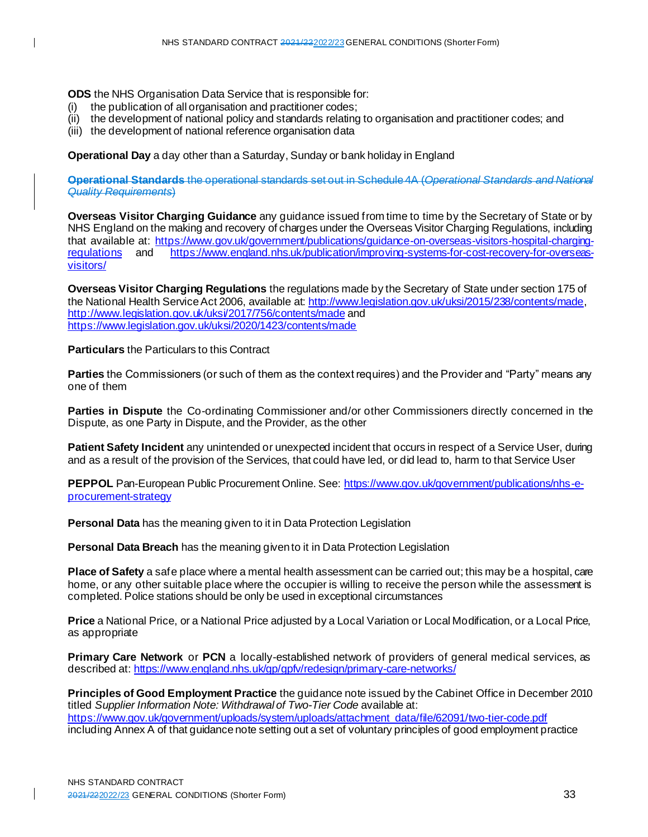**ODS** the NHS Organisation Data Service that is responsible for:

- (i) the publication of all organisation and practitioner codes;
- (ii) the development of national policy and standards relating to organisation and practitioner codes; and
- (iii) the development of national reference organisation data

**Operational Day** a day other than a Saturday, Sunday or bank holiday in England

**Operational Standards** the operational standards set out in Schedule 4A (*Operational Standards and National Quality Requirements*)

**Overseas Visitor Charging Guidance** any guidance issued from time to time by the Secretary of State or by NHS England on the making and recovery of charges under the Overseas Visitor Charging Regulations, including that available at: [https://www.gov.uk/government/publications/guidance-on-overseas-visitors-hospital-charging](https://www.gov.uk/government/publications/guidance-on-overseas-visitors-hospital-charging-regulations)[regulations](https://www.gov.uk/government/publications/guidance-on-overseas-visitors-hospital-charging-regulations) and [https://www.england.nhs.uk/publication/improving-systems-for-cost-recovery-for-overseas](https://www.england.nhs.uk/publication/improving-systems-for-cost-recovery-for-overseas-visitors/)[visitors/](https://www.england.nhs.uk/publication/improving-systems-for-cost-recovery-for-overseas-visitors/)

**Overseas Visitor Charging Regulations** the regulations made by the Secretary of State under section 175 of the National Health Service Act 2006, available at[: http://www.legislation.gov.uk/uksi/2015/238/contents/made](http://www.legislation.gov.uk/uksi/2015/238/contents/made), <http://www.legislation.gov.uk/uksi/2017/756/contents/made> and <https://www.legislation.gov.uk/uksi/2020/1423/contents/made>

**Particulars** the Particulars to this Contract

**Parties** the Commissioners (or such of them as the context requires) and the Provider and "Party" means any one of them

**Parties in Dispute** the Co-ordinating Commissioner and/or other Commissioners directly concerned in the Dispute, as one Party in Dispute, and the Provider, as the other

**Patient Safety Incident** any unintended or unexpected incident that occurs in respect of a Service User, during and as a result of the provision of the Services, that could have led, or did lead to, harm to that Service User

**PEPPOL** Pan-European Public Procurement Online. See[: https://www.gov.uk/government/publications/nhs-e](https://www.gov.uk/government/publications/nhs-e-procurement-strategy)[procurement-strategy](https://www.gov.uk/government/publications/nhs-e-procurement-strategy)

**Personal Data** has the meaning given to it in Data Protection Legislation

**Personal Data Breach** has the meaning given to it in Data Protection Legislation

**Place of Safety** a safe place where a mental health assessment can be carried out; this may be a hospital, care home, or any other suitable place where the occupier is willing to receive the person while the assessment is completed. Police stations should be only be used in exceptional circumstances

**Price** a National Price, or a National Price adjusted by a Local Variation or Local Modification, or a Local Price, as appropriate

**Primary Care Network** or **PCN** a locally-established network of providers of general medical services, as described at[: https://www.england.nhs.uk/gp/gpfv/redesign/primary-care-networks/](https://www.england.nhs.uk/gp/gpfv/redesign/primary-care-networks/)

**Principles of Good Employment Practice** the guidance note issued by the Cabinet Office in December 2010 titled *Supplier Information Note: Withdrawal of Two-Tier Code* available at: [https://www.gov.uk/government/uploads/system/uploads/attachment\\_data/file/62091/two-tier-code.pdf](https://www.gov.uk/government/uploads/system/uploads/attachment_data/file/62091/two-tier-code.pdf) including Annex A of that guidance note setting out a set of voluntary principles of good employment practice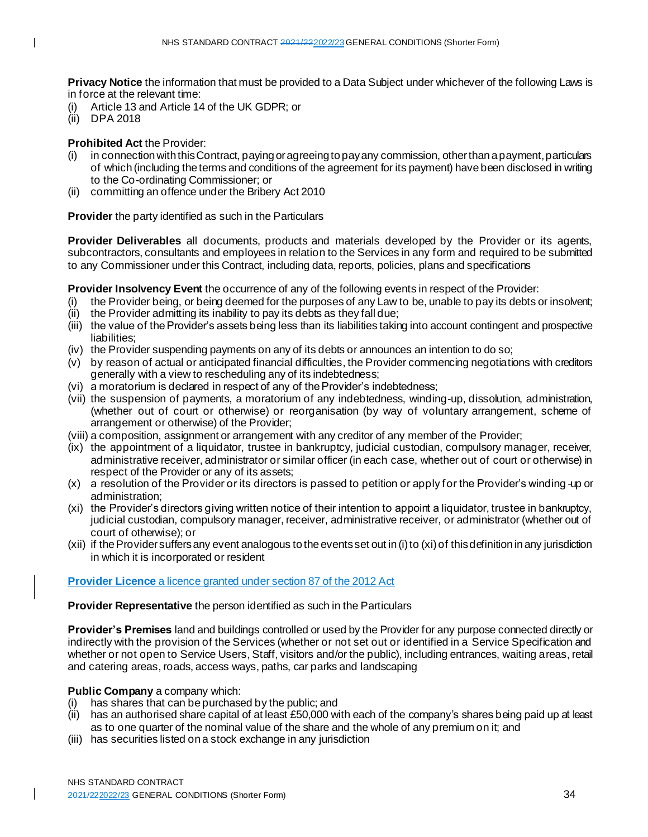**Privacy Notice** the information that must be provided to a Data Subject under whichever of the following Laws is in force at the relevant time:

- (i) Article 13 and Article 14 of the UK GDPR; or
- (ii) DPA 2018

 $\mathbf I$ 

# **Prohibited Act** the Provider:

- (i) in connection with this Contract, paying or agreeing to pay any commission, other than a payment, particulars of which (including the terms and conditions of the agreement for its payment) have been disclosed in writing to the Co-ordinating Commissioner; or
- (ii) committing an offence under the Bribery Act 2010

**Provider** the party identified as such in the Particulars

**Provider Deliverables** all documents, products and materials developed by the Provider or its agents, subcontractors, consultants and employees in relation to the Services in any form and required to be submitted to any Commissioner under this Contract, including data, reports, policies, plans and specifications

**Provider Insolvency Event** the occurrence of any of the following events in respect of the Provider:

- (i) the Provider being, or being deemed for the purposes of any Law to be, unable to pay its debts or insolvent;
- (ii) the Provider admitting its inability to pay its debts as they fall due;
- (iii) the value of the Provider's assets being less than its liabilities taking into account contingent and prospective liabilities;
- (iv) the Provider suspending payments on any of its debts or announces an intention to do so;
- (v) by reason of actual or anticipated financial difficulties, the Provider commencing negotiations with creditors generally with a view to rescheduling any of its indebtedness;
- (vi) a moratorium is declared in respect of any of the Provider's indebtedness;
- (vii) the suspension of payments, a moratorium of any indebtedness, winding-up, dissolution, administration, (whether out of court or otherwise) or reorganisation (by way of voluntary arrangement, scheme of arrangement or otherwise) of the Provider;
- (viii) a composition, assignment or arrangement with any creditor of any member of the Provider;
- (ix) the appointment of a liquidator, trustee in bankruptcy, judicial custodian, compulsory manager, receiver, administrative receiver, administrator or similar officer (in each case, whether out of court or otherwise) in respect of the Provider or any of its assets;
- (x) a resolution of the Provider or its directors is passed to petition or apply for the Provider's winding -up or administration;
- (xi) the Provider's directors giving written notice of their intention to appoint a liquidator, trustee in bankruptcy, judicial custodian, compulsory manager, receiver, administrative receiver, or administrator (whether out of court of otherwise); or
- (xii) if the Provider suffers any event analogous to the events set out in (i) to (xi) of this definition in any jurisdiction in which it is incorporated or resident

# **Provider Licence** a licence granted under section 87 of the 2012 Act

**Provider Representative** the person identified as such in the Particulars

**Provider's Premises** land and buildings controlled or used by the Provider for any purpose connected directly or indirectly with the provision of the Services (whether or not set out or identified in a Service Specification and whether or not open to Service Users, Staff, visitors and/or the public), including entrances, waiting areas, retail and catering areas, roads, access ways, paths, car parks and landscaping

#### **Public Company** a company which:

- (i) has shares that can be purchased by the public; and
- (ii) has an authorised share capital of at least £50,000 with each of the company's shares being paid up at least as to one quarter of the nominal value of the share and the whole of any premium on it; and
- (iii) has securities listed on a stock exchange in any jurisdiction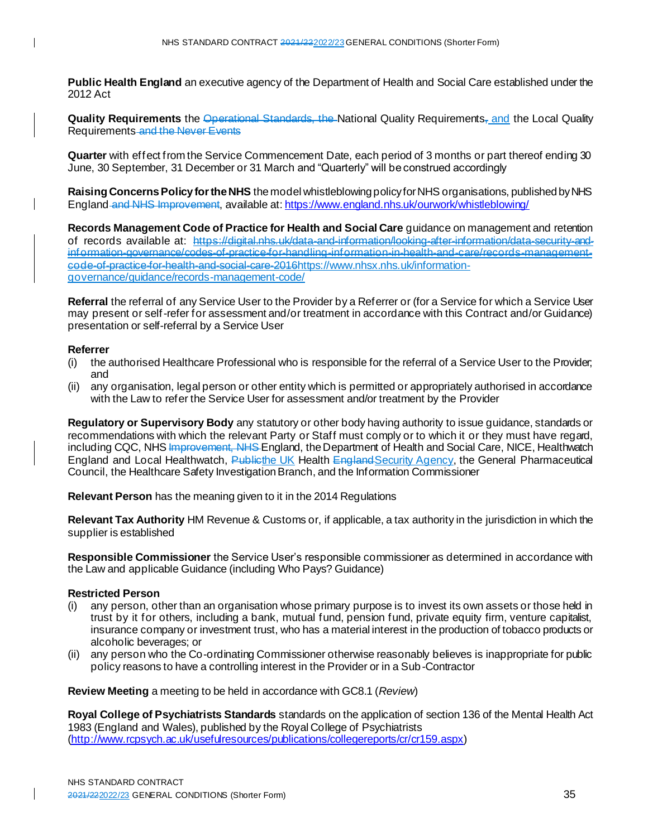**Public Health England** an executive agency of the Department of Health and Social Care established under the 2012 Act

**Quality Requirements** the Operational Standards, the National Quality Requirements, and the Local Quality Requirements and the Never Events

**Quarter** with effect from the Service Commencement Date, each period of 3 months or part thereof ending 30 June, 30 September, 31 December or 31 March and "Quarterly" will be construed accordingly

**Raising Concerns Policy for the NHS** the model whistleblowing policy for NHS organisations, published by NHS England and NHS Improvement, available at: <https://www.england.nhs.uk/ourwork/whistleblowing/>

**Records Management Code of Practice for Health and Social Care** guidance on management and retention of records available at: https://digital.nhs.uk/data-and-information/looking-after-information/data information-governance/codes-of-practice-for-handling-information-in-health-and-care/records-managementcode-of-practice-for-health-and-social-care-201[6https://www.nhsx.nhs.uk/information](https://www.nhsx.nhs.uk/information-governance/guidance/records-management-code/)[governance/guidance/records-management-code/](https://www.nhsx.nhs.uk/information-governance/guidance/records-management-code/)

**Referral** the referral of any Service User to the Provider by a Referrer or (for a Service for which a Service User may present or self-refer for assessment and/or treatment in accordance with this Contract and/or Guidance) presentation or self-referral by a Service User

#### **Referrer**

- (i) the authorised Healthcare Professional who is responsible for the referral of a Service User to the Provider; and
- (ii) any organisation, legal person or other entity which is permitted or appropriately authorised in accordance with the Law to refer the Service User for assessment and/or treatment by the Provider

**Regulatory or Supervisory Body** any statutory or other body having authority to issue guidance, standards or recommendations with which the relevant Party or Staff must comply or to which it or they must have regard, including CQC, NHS Improvement, NHS England, the Department of Health and Social Care, NICE, Healthwatch England and Local Healthwatch, Publicthe UK Health England Security Agency, the General Pharmaceutical Council, the Healthcare Safety Investigation Branch, and the Information Commissioner

**Relevant Person** has the meaning given to it in the 2014 Regulations

**Relevant Tax Authority** HM Revenue & Customs or, if applicable, a tax authority in the jurisdiction in which the supplier is established

**Responsible Commissioner** the Service User's responsible commissioner as determined in accordance with the Law and applicable Guidance (including Who Pays? Guidance)

#### **Restricted Person**

- (i) any person, other than an organisation whose primary purpose is to invest its own assets or those held in trust by it for others, including a bank, mutual fund, pension fund, private equity firm, venture capitalist, insurance company or investment trust, who has a material interest in the production of tobacco products or alcoholic beverages; or
- (ii) any person who the Co-ordinating Commissioner otherwise reasonably believes is inappropriate for public policy reasons to have a controlling interest in the Provider or in a Sub-Contractor

**Review Meeting** a meeting to be held in accordance with GC8.1 (*Review*)

**Royal College of Psychiatrists Standards** standards on the application of section 136 of the Mental Health Act 1983 (England and Wales), published by the Royal College of Psychiatrists [\(http://www.rcpsych.ac.uk/usefulresources/publications/collegereports/cr/cr159.aspx](http://www.rcpsych.ac.uk/usefulresources/publications/collegereports/cr/cr159.aspx))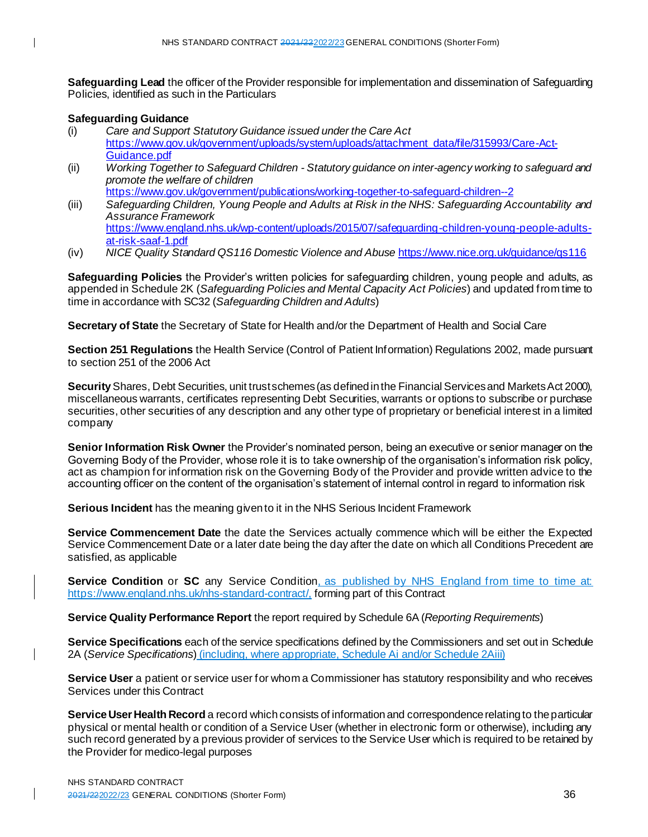**Safeguarding Lead** the officer of the Provider responsible for implementation and dissemination of Safeguarding Policies, identified as such in the Particulars

# **Safeguarding Guidance**

- (i) *Care and Support Statutory Guidance issued under the Care Act* [https://www.gov.uk/government/uploads/system/uploads/attachment\\_data/file/315993/Care-Act-](https://www.gov.uk/government/uploads/system/uploads/attachment_data/file/315993/Care-Act-Guidance.pdf)[Guidance.pdf](https://www.gov.uk/government/uploads/system/uploads/attachment_data/file/315993/Care-Act-Guidance.pdf)
- (ii) *Working Together to Safeguard Children - Statutory guidance on inter-agency working to safeguard and promote the welfare of children* <https://www.gov.uk/government/publications/working-together-to-safeguard-children--2>
- (iii) *Safeguarding Children, Young People and Adults at Risk in the NHS: Safeguarding Accountability and Assurance Framework* [https://www.england.nhs.uk/wp-content/uploads/2015/07/safeguarding-children-young-people-adults](https://www.england.nhs.uk/wp-content/uploads/2015/07/safeguarding-children-young-people-adults-at-risk-saaf-1.pdf)[at-risk-saaf-1.pdf](https://www.england.nhs.uk/wp-content/uploads/2015/07/safeguarding-children-young-people-adults-at-risk-saaf-1.pdf)
- (iv) *NICE Quality Standard QS116 Domestic Violence and Abuse* <https://www.nice.org.uk/guidance/qs116>

**Safeguarding Policies** the Provider's written policies for safeguarding children, young people and adults, as appended in Schedule 2K (*Safeguarding Policies and Mental Capacity Act Policies*) and updated from time to time in accordance with SC32 (*Safeguarding Children and Adults*)

**Secretary of State** the Secretary of State for Health and/or the Department of Health and Social Care

**Section 251 Regulations** the Health Service (Control of Patient Information) Regulations 2002, made pursuant to section 251 of the 2006 Act

**Security** Shares, Debt Securities, unit trust schemes (as defined in the Financial Services and Markets Act 2000), miscellaneous warrants, certificates representing Debt Securities, warrants or options to subscribe or purchase securities, other securities of any description and any other type of proprietary or beneficial interest in a limited company

**Senior Information Risk Owner** the Provider's nominated person, being an executive or senior manager on the Governing Body of the Provider, whose role it is to take ownership of the organisation's information risk policy, act as champion for information risk on the Governing Body of the Provider and provide written advice to the accounting officer on the content of the organisation's statement of internal control in regard to information risk

**Serious Incident** has the meaning given to it in the NHS Serious Incident Framework

**Service Commencement Date** the date the Services actually commence which will be either the Expected Service Commencement Date or a later date being the day after the date on which all Conditions Precedent are satisfied, as applicable

**Service Condition** or SC any Service Condition, as published by NHS England from time to time at: https://www.england.nhs.uk/nhs-standard-contract/, forming part of this Contract

**Service Quality Performance Report** the report required by Schedule 6A (*Reporting Requirements*)

**Service Specifications** each of the service specifications defined by the Commissioners and set out in Schedule 2A (*Service Specifications*) (including, where appropriate, Schedule Ai and/or Schedule 2Aiii)

**Service User** a patient or service user for whom a Commissioner has statutory responsibility and who receives Services under this Contract

**Service User Health Record** a record which consists of information and correspondence relating to the particular physical or mental health or condition of a Service User (whether in electronic form or otherwise), including any such record generated by a previous provider of services to the Service User which is required to be retained by the Provider for medico-legal purposes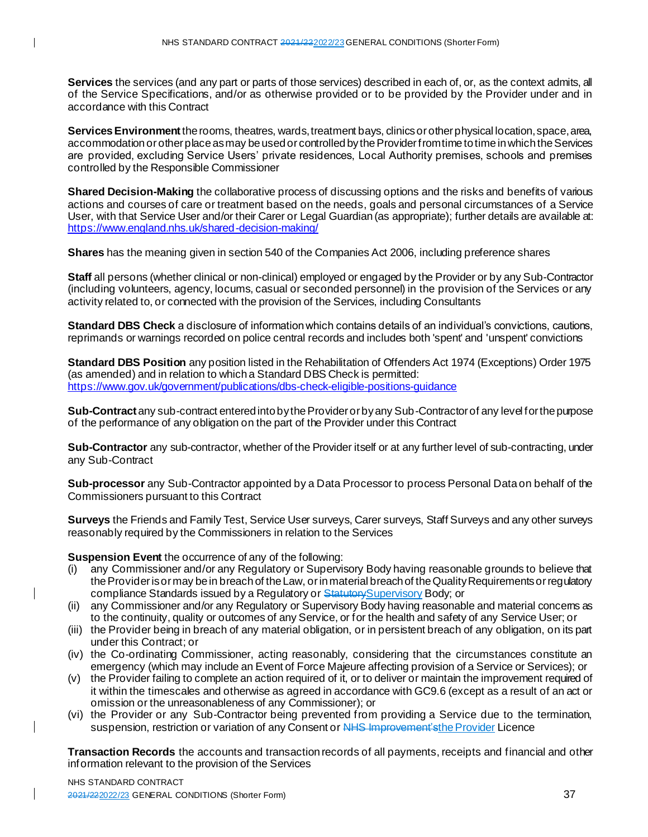**Services** the services (and any part or parts of those services) described in each of, or, as the context admits, all of the Service Specifications, and/or as otherwise provided or to be provided by the Provider under and in accordance with this Contract

**Services Environment** the rooms, theatres, wards, treatment bays, clinics or other physical location, space, area, accommodation or other place as may be used or controlled by the Provider from time to time in which the Services are provided, excluding Service Users' private residences, Local Authority premises, schools and premises controlled by the Responsible Commissioner

**Shared Decision-Making** the collaborative process of discussing options and the risks and benefits of various actions and courses of care or treatment based on the needs, goals and personal circumstances of a Service User, with that Service User and/or their Carer or Legal Guardian (as appropriate); further details are available at: <https://www.england.nhs.uk/shared-decision-making/>

**Shares** has the meaning given in section 540 of the Companies Act 2006, including preference shares

**Staff** all persons (whether clinical or non-clinical) employed or engaged by the Provider or by any Sub-Contractor (including volunteers, agency, locums, casual or seconded personnel) in the provision of the Services or any activity related to, or connected with the provision of the Services, including Consultants

**Standard DBS Check** a disclosure of information which contains details of an individual's convictions, cautions, reprimands or warnings recorded on police central records and includes both 'spent' and 'unspent' convictions

**Standard DBS Position** any position listed in the Rehabilitation of Offenders Act 1974 (Exceptions) Order 1975 (as amended) and in relation to which a Standard DBS Check is permitted: <https://www.gov.uk/government/publications/dbs-check-eligible-positions-guidance>

**Sub-Contract** any sub-contract entered into by the Provider or by any Sub-Contractor of any level for the purpose of the performance of any obligation on the part of the Provider under this Contract

**Sub-Contractor** any sub-contractor, whether of the Provider itself or at any further level of sub-contracting, under any Sub-Contract

**Sub-processor** any Sub-Contractor appointed by a Data Processor to process Personal Data on behalf of the Commissioners pursuant to this Contract

**Surveys** the Friends and Family Test, Service User surveys, Carer surveys, Staff Surveys and any other surveys reasonably required by the Commissioners in relation to the Services

**Suspension Event** the occurrence of any of the following:

- (i) any Commissioner and/or any Regulatory or Supervisory Body having reasonable grounds to believe that the Provider is or may be in breach of the Law, or in material breach of the Quality Requirements or regulatory compliance Standards issued by a Regulatory or Statutory Supervisory Body; or
- (ii) any Commissioner and/or any Regulatory or Supervisory Body having reasonable and material concerns as to the continuity, quality or outcomes of any Service, or for the health and safety of any Service User; or
- (iii) the Provider being in breach of any material obligation, or in persistent breach of any obligation, on its part under this Contract; or
- (iv) the Co-ordinating Commissioner, acting reasonably, considering that the circumstances constitute an emergency (which may include an Event of Force Majeure affecting provision of a Service or Services); or
- (v) the Provider failing to complete an action required of it, or to deliver or maintain the improvement required of it within the timescales and otherwise as agreed in accordance with GC9.6 (except as a result of an act or omission or the unreasonableness of any Commissioner); or
- (vi) the Provider or any Sub-Contractor being prevented from providing a Service due to the termination, suspension, restriction or variation of any Consent or NHS Improvement's the Provider Licence

**Transaction Records** the accounts and transaction records of all payments, receipts and financial and other information relevant to the provision of the Services